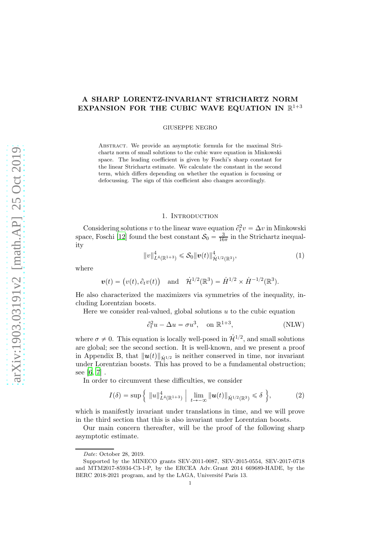## A SHARP LORENTZ-INVARIANT STRICHARTZ NORM EXPANSION FOR THE CUBIC WAVE EQUATION IN  $\mathbb{R}^{1+3}$

GIUSEPPE NEGRO

Abstract. We provide an asymptotic formula for the maximal Strichartz norm of small solutions to the cubic wave equation in Minkowski space. The leading coefficient is given by Foschi's sharp constant for the linear Strichartz estimate. We calculate the constant in the second term, which differs depending on whether the equation is focussing or defocussing. The sign of this coefficient also changes accordingly.

## <span id="page-0-1"></span>1. Introduction

Considering solutions v to the linear wave equation  $\partial_t^2$  $t^2v = \Delta v$  in Minkowski space, Foschi [\[12](#page-29-0)] found the best constant  $S_0 = \frac{3}{16\pi}$  in the Strichartz inequality

$$
||v||_{L^{4}(\mathbb{R}^{1+3})}^{4} \leqslant \mathcal{S}_{0}||v(t)||_{\dot{\mathcal{H}}^{1/2}(\mathbb{R}^{3})}^{4}, \qquad (1)
$$

where

$$
\mathbf{v}(t) = (v(t), \partial_t v(t))
$$
 and  $\dot{\mathcal{H}}^{1/2}(\mathbb{R}^3) = \dot{H}^{1/2} \times \dot{H}^{-1/2}(\mathbb{R}^3)$ .

He also characterized the maximizers via symmetries of the inequality, including Lorentzian boosts.

Here we consider real-valued, global solutions  $u$  to the cubic equation

<span id="page-0-2"></span><span id="page-0-0"></span>
$$
\partial_t^2 u - \Delta u = \sigma u^3, \quad \text{on } \mathbb{R}^{1+3}, \tag{NLW}
$$

where  $\sigma \neq 0$ . This equation is locally well-posed in  $\mathcal{H}^{1/2}$ , and small solutions are global; see the second section. It is well-known, and we present a proof in Appendix B, that  $\|\mathbf{u}(t)\|_{\dot{H}^{1/2}}$  is neither conserved in time, nor invariant under Lorentzian boosts. This has proved to be a fundamental obstruction; see [\[6](#page-29-1), [7](#page-29-2)] .

In order to circumvent these difficulties, we consider

$$
I(\delta) = \sup \left\{ \|u\|_{L^4(\mathbb{R}^{1+3})}^4 \, \Big| \, \lim_{t \to -\infty} \|u(t)\|_{\dot{\mathcal{H}}^{1/2}(\mathbb{R}^3)} \leq \delta \, \right\},\tag{2}
$$

which is manifestly invariant under translations in time, and we will prove in the third section that this is also invariant under Lorentzian boosts.

Our main concern thereafter, will be the proof of the following sharp asymptotic estimate.

Date: October 28, 2019.

Supported by the MINECO grants SEV-2011-0087, SEV-2015-0554, SEV-2017-0718 and MTM2017-85934-C3-1-P, by the ERCEA Adv. Grant 2014 669689-HADE, by the BERC 2018-2021 program, and by the LAGA, Université Paris 13.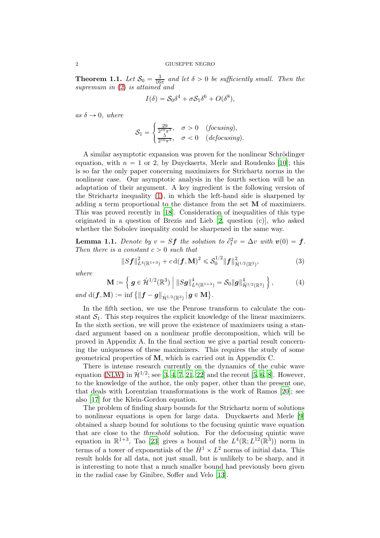<span id="page-1-3"></span>**Theorem 1.1.** Let  $S_0 = \frac{3}{16}$  $\frac{3}{16\pi}$  and let  $\delta > 0$  be sufficiently small. Then the supremum in  $(2)$  is attained and

$$
I(\delta) = S_0 \delta^4 + \sigma S_1 \delta^6 + O(\delta^8),
$$

as  $\delta \rightarrow 0$ , where

$$
\mathcal{S}_1 = \begin{cases} \frac{29}{2^{10}\pi^3}, & \sigma > 0 \quad (focusing), \\ \frac{5}{2^{10}\pi^3}, & \sigma < 0 \quad (de focusing). \end{cases}
$$

A similar asymptotic expansion was proven for the nonlinear Schrödinger equation, with  $n = 1$  or 2, by Duyckaerts, Merle and Roudenko [\[10](#page-29-3)]; this is so far the only paper concerning maximizers for Strichartz norms in the nonlinear case. Our asymptotic analysis in the fourth section will be an adaptation of their argument. A key ingredient is the following version of the Strichartz inequality [\(1\)](#page-0-1), in which the left-hand side is sharpened by adding a term proportional to the distance from the set  $\bf{M}$  of maximizers. This was proved recently in [\[18](#page-29-4)]. Consideration of inequalities of this type originated in a question of Brezis and Lieb [\[2](#page-28-0), question (c)], who asked whether the Sobolev inequality could be sharpened in the same way.

<span id="page-1-0"></span>**Lemma 1.1.** Denote by  $v = Sf$  the solution to  $\partial_t^2$  $t^2v = \Delta v$  with  $\mathbf{v}(0) = \mathbf{f}$ . Then there is a constant  $c > 0$  such that

<span id="page-1-2"></span><span id="page-1-1"></span>
$$
||Sf||_{L^{4}(\mathbb{R}^{1+3})}^{2} + c d(f, M)^{2} \leq S_{0}^{1/2} ||f||_{\dot{\mathcal{H}}^{1/2}(\mathbb{R}^{3})}^{2},
$$
\n(3)

where

$$
\mathbf{M} := \left\{ \mathbf{g} \in \dot{\mathcal{H}}^{1/2}(\mathbb{R}^3) \middle| \|S\mathbf{g}\|_{L^4(\mathbb{R}^{1+3})}^4 = \mathcal{S}_0 \|\mathbf{g}\|_{\dot{\mathcal{H}}^{1/2}(\mathbb{R}^3)}^4 \right\},\tag{4}
$$

 $\textit{and} \,\, \mathrm{d}(\boldsymbol{f}, \mathbf{M}):=\inf\big\{\|\boldsymbol{f}-\boldsymbol{g}\|_{\dot{\mathcal{H}}^{1/2}(\mathbb{R}^3)}\,|\, \boldsymbol{g}\in \mathbf{M}\big\}.$ 

In the fifth section, we use the Penrose transform to calculate the constant  $S_1$ . This step requires the explicit knowledge of the linear maximizers. In the sixth section, we will prove the existence of maximizers using a standard argument based on a nonlinear profile decomposition, which will be proved in Appendix A. In the final section we give a partial result concerning the uniqueness of these maximizers. This requires the study of some geometrical properties of M, which is carried out in Appendix C.

There is intense research currently on the dynamics of the cubic wave equation [\(NLW\)](#page-0-2) in  $\dot{\mathcal{H}}^{1/2}$ ; see [\[3](#page-28-1), [4,](#page-28-2) [7](#page-29-2), [21,](#page-29-5) [22](#page-29-6)] and the recent [\[5](#page-28-3), [6](#page-29-1), [8\]](#page-29-7). However, to the knowledge of the author, the only paper, other than the present one, that deals with Lorentzian transformations is the work of Ramos [\[20](#page-29-8)]; see also [\[17](#page-29-9)] for the Klein-Gordon equation.

The problem of finding sharp bounds for the Strichartz norm of solutions to nonlinear equations is open for large data. Duyckaerts and Merle [\[9\]](#page-29-10) obtained a sharp bound for solutions to the focusing quintic wave equation that are close to the threshold solution. For the defocusing quintic wave equation in  $\mathbb{R}^{1+3}$ , Tao [\[23\]](#page-29-11) gives a bound of the  $L^4(\mathbb{R}; L^{12}(\mathbb{R}^3))$  norm in terms of a tower of exponentials of the  $\dot{H}^1 \times L^2$  norms of initial data. This result holds for all data, not just small, but is unlikely to be sharp, and it is interesting to note that a much smaller bound had previously been given in the radial case by Ginibre, Soffer and Velo [\[13](#page-29-12)].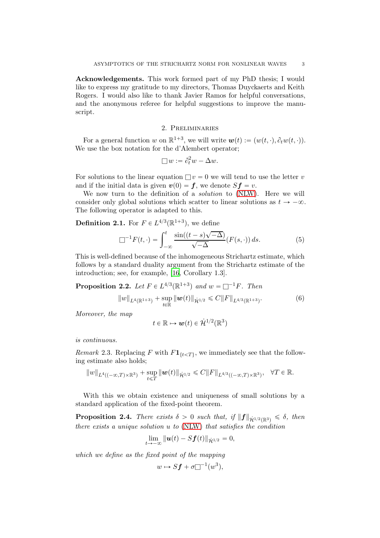Acknowledgements. This work formed part of my PhD thesis; I would like to express my gratitude to my directors, Thomas Duyckaerts and Keith Rogers. I would also like to thank Javier Ramos for helpful conversations, and the anonymous referee for helpful suggestions to improve the manuscript.

## 2. Preliminaries

For a general function w on  $\mathbb{R}^{1+3}$ , we will write  $\mathbf{w}(t) := (w(t, \cdot), \partial_t w(t, \cdot)).$ We use the box notation for the d'Alembert operator;

<span id="page-2-0"></span>
$$
\Box w := \partial_t^2 w - \Delta w.
$$

For solutions to the linear equation  $\Box v = 0$  we will tend to use the letter v and if the initial data is given  $v(0) = f$ , we denote  $Sf = v$ .

We now turn to the definition of a *solution* to [\(NLW\)](#page-0-2). Here we will consider only global solutions which scatter to linear solutions as  $t \to -\infty$ . The following operator is adapted to this.

**Definition 2.1.** For  $F \in L^{4/3}(\mathbb{R}^{1+3})$ , we define

$$
\Box^{-1}F(t,\cdot) = \int_{-\infty}^{t} \frac{\sin((t-s)\sqrt{-\Delta})}{\sqrt{-\Delta}} (F(s,\cdot)) ds.
$$
 (5)

This is well-defined because of the inhomogeneous Strichartz estimate, which follows by a standard duality argument from the Strichartz estimate of the introduction; see, for example, [\[16,](#page-29-13) Corollary 1.3].

<span id="page-2-2"></span>**Proposition 2.2.** Let  $F \in L^{4/3}(\mathbb{R}^{1+3})$  and  $w = \square^{-1}F$ . Then  $\| w \|_{L^4(\mathbb{R}^{1+3})} + \sup_{t \in \mathbb{R}} \| \boldsymbol{w}(t) \|_{\dot{\mathcal{H}}^{1/2}} \leqslant C \| F \|_{L^{4/3}(\mathbb{R}^{1+3})}$ . (6)

Moreover, the map

<span id="page-2-3"></span>
$$
t\in\mathbb{R}\mapsto \boldsymbol{w}(t)\in\dot{\mathcal{H}}^{1/2}(\mathbb{R}^3)
$$

is continuous.

<span id="page-2-4"></span>Remark 2.3. Replacing F with  $F1_{\{t \leq T\}}$ , we immediately see that the following estimate also holds;

$$
||w||_{L^4((-\infty,T)\times\mathbb{R}^3)} + \sup_{t\leq T} ||w(t)||_{\dot{\mathcal{H}}^{1/2}} \leq C||F||_{L^{4/3}((-\infty,T)\times\mathbb{R}^3)}, \quad \forall T\in\mathbb{R}.
$$

With this we obtain existence and uniqueness of small solutions by a standard application of the fixed-point theorem.

<span id="page-2-1"></span>**Proposition 2.4.** There exists  $\delta > 0$  such that, if  $||f||_{\dot{H}^{1/2}(\mathbb{R}^3)} \leq \delta$ , then there exists a unique solution u to [\(NLW\)](#page-0-2) that satisfies the condition

$$
\lim_{t\to-\infty}\|\boldsymbol{u}(t)-S\boldsymbol{f}(t)\|_{\dot{\mathcal{H}}^{1/2}}=0,
$$

which we define as the fixed point of the mapping

$$
w \mapsto Sf + \sigma \Box^{-1}(w^3),
$$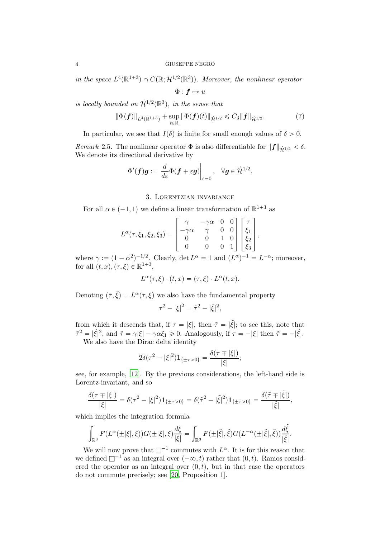in the space  $L^4(\mathbb{R}^{1+3}) \cap C(\mathbb{R}; \dot{\mathcal{H}}^{1/2}(\mathbb{R}^3))$ . Moreover, the nonlinear operator

<span id="page-3-1"></span> $\Phi: f \mapsto u$ 

is locally bounded on  $\dot{\mathcal{H}}^{1/2}(\mathbb{R}^3)$ , in the sense that

$$
\|\Phi(\bm{f})\|_{L^4(\mathbb{R}^{1+3})} + \sup_{t \in \mathbb{R}} \|\Phi(\bm{f})(t)\|_{\dot{\mathcal{H}}^{1/2}} \leq C_{\delta} \|\bm{f}\|_{\dot{\mathcal{H}}^{1/2}}.
$$
 (7)

In particular, we see that  $I(\delta)$  is finite for small enough values of  $\delta > 0$ .

<span id="page-3-0"></span>Remark 2.5. The nonlinear operator  $\Phi$  is also differentiable for  $||\boldsymbol{f}||_{\dot{H}^{1/2}} < \delta$ . We denote its directional derivative by

$$
\Phi'(\boldsymbol{f})\boldsymbol{g}:=\left.\frac{d}{d\varepsilon}\Phi(\boldsymbol{f}+\varepsilon\boldsymbol{g})\right|_{\varepsilon=0},\quad\forall\boldsymbol{g}\in\dot{\mathcal{H}}^{1/2}.
$$

#### 3. Lorentzian invariance

<span id="page-3-2"></span>For all  $\alpha \in (-1, 1)$  we define a linear transformation of  $\mathbb{R}^{1+3}$  as

$$
L^{\alpha}(\tau, \xi_1, \xi_2, \xi_3) = \begin{bmatrix} \gamma & -\gamma \alpha & 0 & 0 \\ -\gamma \alpha & \gamma & 0 & 0 \\ 0 & 0 & 1 & 0 \\ 0 & 0 & 0 & 1 \end{bmatrix} \begin{bmatrix} \tau \\ \xi_1 \\ \xi_2 \\ \xi_3 \end{bmatrix},
$$

where  $\gamma := (1 - \alpha^2)^{-1/2}$ . Clearly, det  $L^{\alpha} = 1$  and  $(L^{\alpha})^{-1} = L^{-\alpha}$ ; moreover, for all  $(t, x), (\tau, \xi) \in \mathbb{R}^{1+3}$ ,

$$
L^{\alpha}(\tau,\xi)\cdot (t,x)=(\tau,\xi)\cdot L^{\alpha}(t,x).
$$

Denoting  $(\tilde{\tau}, \tilde{\xi}) = L^{\alpha}(\tau, \xi)$  we also have the fundamental property

$$
\tau^{2} - |\xi|^{2} = \tilde{\tau}^{2} - |\tilde{\xi}|^{2},
$$

from which it descends that, if  $\tau = |\xi|$ , then  $\tilde{\tau} = |\tilde{\xi}|$ ; to see this, note that  $\tilde{\tau}^2 = |\tilde{\xi}|^2$ , and  $\tilde{\tau} = \gamma |\xi| - \gamma \alpha \xi_1 \geq 0$ . Analogously, if  $\tau = -|\xi|$  then  $\tilde{\tau} = -|\tilde{\xi}|$ .

We also have the Dirac delta identity

$$
2\delta(\tau^2-|\xi|^2)\mathbf{1}_{\{\pm\tau>0\}}=\frac{\delta(\tau\mp|\xi|)}{|\xi|};
$$

see, for example, [\[12](#page-29-0)]. By the previous considerations, the left-hand side is Lorentz-invariant, and so

$$
\frac{\delta(\tau \mp |\xi|)}{|\xi|} = \delta(\tau^2 - |\xi|^2) \mathbf{1}_{\{\pm \tau > 0\}} = \delta(\tilde{\tau}^2 - |\tilde{\xi}|^2) \mathbf{1}_{\{\pm \tilde{\tau} > 0\}} = \frac{\delta(\tilde{\tau} \mp |\tilde{\xi}|)}{|\tilde{\xi}|},
$$

which implies the integration formula

$$
\int_{\mathbb{R}^3} F(L^{\alpha}(\pm |\xi|, \xi)) G(\pm |\xi|, \xi) \frac{d\xi}{|\xi|} = \int_{\mathbb{R}^3} F(\pm |\tilde{\xi}|, \tilde{\xi}) G(L^{-\alpha}(\pm |\tilde{\xi}|, \tilde{\xi})) \frac{d\tilde{\xi}}{|\tilde{\xi}|}.
$$

We will now prove that  $\square^{-1}$  commutes with  $L^{\alpha}$ . It is for this reason that we defined  $\Box^{-1}$  as an integral over  $(-\infty, t)$  rather that  $(0, t)$ . Ramos considered the operator as an integral over  $(0, t)$ , but in that case the operators do not commute precisely; see [\[20](#page-29-8), Proposition 1].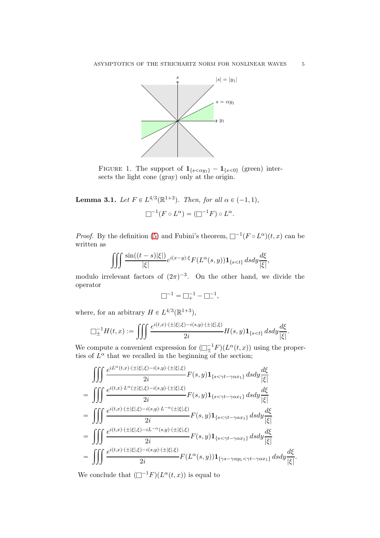<span id="page-4-0"></span>

FIGURE 1. The support of  $\mathbf{1}_{\{s<\alpha y_1\}} - \mathbf{1}_{\{s<0\}}$  (green) intersects the light cone (gray) only at the origin.

<span id="page-4-1"></span>**Lemma 3.1.** Let  $F \in L^{4/3}(\mathbb{R}^{1+3})$ . Then, for all  $\alpha \in (-1, 1)$ ,

 $\Box^{-1}(F \circ L^{\alpha}) = (\Box^{-1}F) \circ L^{\alpha}.$ 

*Proof.* By the definition [\(5\)](#page-2-0) and Fubini's theorem,  $\Box^{-1}(F \circ L^{\alpha})(t, x)$  can be written as

$$
\iiint \frac{\sin((t-s)|\xi|)}{|\xi|} e^{i(x-y)\cdot\xi} F(L^{\alpha}(s,y)) \mathbf{1}_{\{s < t\}} ds dy \frac{d\xi}{|\xi|},
$$

modulo irrelevant factors of  $(2\pi)^{-3}$ . On the other hand, we divide the operator

$$
\Box^{-1} = \Box_+^{-1} - \Box_-^{-1},
$$

where, for an arbitrary  $H \in L^{4/3}(\mathbb{R}^{1+3}),$ 

$$
\square^{-1}_\pm H(t,x):=\iiint \frac{e^{i(t,x)\cdot(\pm|\xi|,\xi)-i(s,y)\cdot(\pm|\xi|,\xi)}}{2i}H(s,y)\mathbf{1}_{\{s
$$

We compute a convenient expression for  $\left(\Box_{\pm}^{-1}F\right)(L^{\alpha}(t,x))$  using the properties of  $L^{\alpha}$  that we recalled in the beginning of the section;

$$
\iiint \frac{e^{iL^{\alpha}(t,x)\cdot(\pm|\xi|,\xi)-i(s,y)\cdot(\pm|\xi|,\xi)}}{2i}F(s,y)\mathbf{1}_{\{s<\gamma t-\gamma\alpha x_1\}}dsdy\frac{d\xi}{|\xi|}
$$
\n
$$
=\iiint \frac{e^{i(t,x)\cdot L^{\alpha}(\pm|\xi|,\xi)-i(s,y)\cdot(\pm|\xi|,\xi)}}{2i}F(s,y)\mathbf{1}_{\{s<\gamma t-\gamma\alpha x_1\}}dsdy\frac{d\xi}{|\xi|}
$$
\n
$$
=\iiint \frac{e^{i(t,x)\cdot(\pm|\xi|,\xi)-i(s,y)\cdot L^{-\alpha}(\pm|\xi|,\xi)}}{2i}F(s,y)\mathbf{1}_{\{s<\gamma t-\gamma\alpha x_1\}}dsdy\frac{d\xi}{|\xi|}
$$
\n
$$
=\iiint \frac{e^{i(t,x)\cdot(\pm|\xi|,\xi)-iL^{-\alpha}(s,y)\cdot(\pm|\xi|,\xi)}}{2i}F(s,y)\mathbf{1}_{\{s<\gamma t-\gamma\alpha x_1\}}dsdy\frac{d\xi}{|\xi|}
$$
\n
$$
=\iiint \frac{e^{i(t,x)\cdot(\pm|\xi|,\xi)-i(s,y)\cdot(\pm|\xi|,\xi)}}{2i}F(L^{\alpha}(s,y))\mathbf{1}_{\{\gamma s-\gamma\alpha y_1<\gamma t-\gamma\alpha x_1\}}dsdy\frac{d\xi}{|\xi|}.
$$

We conclude that  $(\Box^{-1}F)(L^{\alpha}(t,x))$  is equal to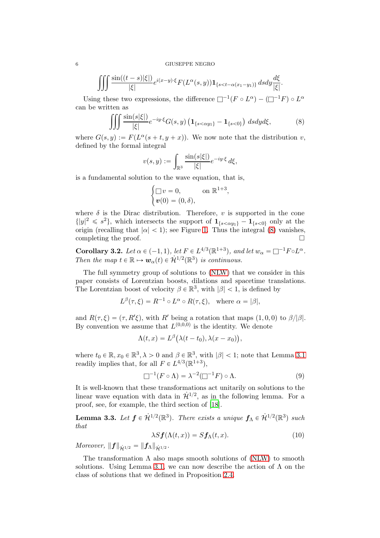$$
\iiint \frac{\sin((t-s)|\xi|)}{|\xi|} e^{i(x-y)\cdot\xi} F(L^{\alpha}(s,y)) \mathbf{1}_{\{s < t-\alpha(x_1-y_1)\}} ds dy \frac{d\xi}{|\xi|}.
$$

Using these two expressions, the difference  $\Box^{-1}(F \circ L^{\alpha}) - (\Box^{-1}F) \circ L^{\alpha}$ can be written as

$$
\iiint \frac{\sin(s|\xi|)}{|\xi|} e^{-iy\cdot\xi} G(s,y) \left( \mathbf{1}_{\{s < \alpha y_1\}} - \mathbf{1}_{\{s < 0\}} \right) ds dy d\xi, \tag{8}
$$

where  $G(s, y) := F(L^{\alpha}(s + t, y + x))$ . We now note that the distribution v, defined by the formal integral

<span id="page-5-0"></span>
$$
v(s,y) := \int_{\mathbb{R}^3} \frac{\sin(s|\xi|)}{|\xi|} e^{-iy \cdot \xi} d\xi,
$$

is a fundamental solution to the wave equation, that is,

$$
\begin{cases} \Box v = 0, & \text{on } \mathbb{R}^{1+3}, \\ v(0) = (0, \delta), \end{cases}
$$

where  $\delta$  is the Dirac distribution. Therefore, v is supported in the cone  $\{|y|^2 \leq s^2\}$ , which intersects the support of  $1_{\{s < \alpha y_1\}} - 1_{\{s < 0\}}$  only at the origin (recalling that  $|\alpha| < 1$ ); see Figure [1.](#page-4-0) Thus the integral [\(8\)](#page-5-0) vanishes, completing the proof.

<span id="page-5-3"></span>Corollary 3.2. Let  $\alpha \in (-1,1)$ , let  $F \in L^{4/3}(\mathbb{R}^{1+3})$ , and let  $w_{\alpha} = \square^{-1} F \circ L^{\alpha}$ . Then the map  $t \in \mathbb{R} \mapsto w_{\alpha}(t) \in \mathcal{H}^{1/2}(\mathbb{R}^3)$  is continuous.

The full symmetry group of solutions to [\(NLW\)](#page-0-2) that we consider in this paper consists of Lorentzian boosts, dilations and spacetime translations. The Lorentzian boost of velocity  $\beta \in \mathbb{R}^3$ , with  $|\beta| < 1$ , is defined by

$$
L^{\beta}(\tau,\xi) = R^{-1} \circ L^{\alpha} \circ R(\tau,\xi), \text{ where } \alpha = |\beta|,
$$

and  $R(\tau, \xi) = (\tau, R'\xi)$ , with R' being a rotation that maps  $(1, 0, 0)$  to  $\beta/|\beta|$ . By convention we assume that  $L^{(0,0,0)}$  is the identity. We denote

$$
\Lambda(t,x) = L^{\beta}\big(\lambda(t - t_0), \lambda(x - x_0)\big),\,
$$

where  $t_0 \in \mathbb{R}, x_0 \in \mathbb{R}^3, \lambda > 0$  and  $\beta \in \mathbb{R}^3$ , with  $|\beta| < 1$ ; note that Lemma [3.1](#page-4-1) readily implies that, for all  $F \in L^{4/3}(\mathbb{R}^{1+3}),$ 

<span id="page-5-2"></span>
$$
\Box^{-1}(F \circ \Lambda) = \lambda^{-2}(\Box^{-1}F) \circ \Lambda.
$$
 (9)

It is well-known that these transformations act unitarily on solutions to the linear wave equation with data in  $\dot{\mathcal{H}}^{1/2}$ , as in the following lemma. For a proof, see, for example, the third section of [\[18\]](#page-29-4).

**Lemma 3.3.** Let  $f \in \mathcal{H}^{1/2}(\mathbb{R}^3)$ . There exists a unique  $f_{\Lambda} \in \mathcal{H}^{1/2}(\mathbb{R}^3)$  such that

<span id="page-5-1"></span>
$$
\lambda S \mathbf{f}(\Lambda(t, x)) = S \mathbf{f}_{\Lambda}(t, x). \tag{10}
$$

Moreover,  $||f||_{\dot{H}^{1/2}} = ||f_{\Lambda}||_{\dot{H}^{1/2}}$ .

The transformation  $\Lambda$  also maps smooth solutions of [\(NLW\)](#page-0-2) to smooth solutions. Using Lemma [3.1,](#page-4-1) we can now describe the action of  $\Lambda$  on the class of solutions that we defined in Proposition [2.4.](#page-2-1)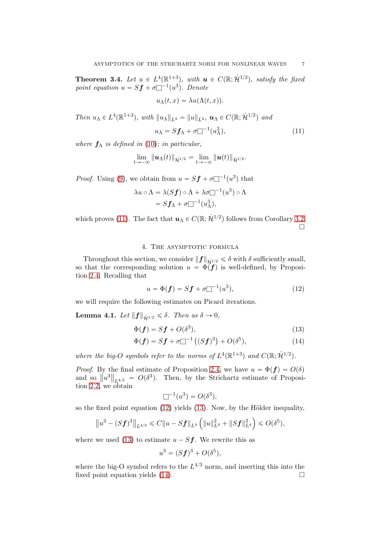<span id="page-6-4"></span>**Theorem 3.4.** Let  $u \in L^4(\mathbb{R}^{1+3})$ , with  $u \in C(\mathbb{R}; \dot{H}^{1/2})$ , satisfy the fixed point equation  $u = Sf + \sigma \overline{\bigsqcup}^{-1}(u^3)$ . Denote

$$
u_{\Lambda}(t,x) = \lambda u(\Lambda(t,x)).
$$

Then  $u_{\Lambda} \in L^4(\mathbb{R}^{1+3})$ , with  $||u_{\Lambda}||_{L^4} = ||u||_{L^4}$ ,  $u_{\Lambda} \in C(\mathbb{R}; \dot{\mathcal{H}}^{1/2})$  and

<span id="page-6-0"></span>
$$
u_{\Lambda} = Sf_{\Lambda} + \sigma \Box^{-1}(u_{\Lambda}^3), \tag{11}
$$

where  $f_{\Lambda}$  is defined in [\(10\)](#page-5-1); in particular,

$$
\lim_{t\to-\infty}\|\boldsymbol{u}_{\Lambda}(t)\|_{\dot{\mathcal{H}}^{1/2}}=\lim_{t\to-\infty}\|\boldsymbol{u}(t)\|_{\dot{\mathcal{H}}^{1/2}}.
$$

*Proof.* Using [\(9\)](#page-5-2), we obtain from  $u = Sf + \sigma \Box^{-1}(u^3)$  that

$$
\lambda u \circ \Lambda = \lambda (Sf) \circ \Lambda + \lambda \sigma \square^{-1} (u^3) \circ \Lambda
$$
  
=  $Sf_{\Lambda} + \sigma \square^{-1} (u^3_{\Lambda}),$ 

which proves [\(11\)](#page-6-0). The fact that  $u_{\Lambda} \in C(\mathbb{R}; \dot{\mathcal{H}}^{1/2})$  follows from Corollary [3.2.](#page-5-3)  $\Box$ 

#### 4. The asymptotic formula

Throughout this section, we consider  $||f||_{\dot{\mathcal{H}}^{1/2}} \leq \delta$  with  $\delta$  sufficiently small, so that the corresponding solution  $u = \Phi(f)$  is well-defined, by Proposition [2.4.](#page-2-1) Recalling that

<span id="page-6-1"></span>
$$
u = \Phi(\mathbf{f}) = S\mathbf{f} + \sigma \Box^{-1}(u^3),\tag{12}
$$

we will require the following estimates on Picard iterations.

**Lemma 4.1.** Let  $||f||_{\dot{\mathcal{H}}^{1/2}} \leq \delta$ . Then as  $\delta \to 0$ ,

$$
\Phi(\mathbf{f}) = S\mathbf{f} + O(\delta^3),\tag{13}
$$

$$
\Phi(\mathbf{f}) = S\mathbf{f} + \sigma \Box^{-1} ((S\mathbf{f})^3) + O(\delta^5), \tag{14}
$$

where the big-O symbols refer to the norms of  $L^4(\mathbb{R}^{1+3})$  and  $C(\mathbb{R}; \dot{H}^{1/2})$ .

*Proof.* By the final estimate of Proposition [2.4,](#page-2-1) we have  $u = \Phi(f) = O(\delta)$ and so  $\left\|u^{3}\right\|_{L^{4/3}} = O(\delta^{3})$ . Then, by the Strichartz estimate of Proposition [2.2,](#page-2-2) we obtain

<span id="page-6-3"></span><span id="page-6-2"></span>
$$
\Box^{-1}(u^3) = O(\delta^3),
$$

so the fixed point equation  $(12)$  yields  $(13)$ . Now, by the Hölder inequality,

$$
\left\|u^3 - (Sf)^3\right\|_{L^{4/3}} \leq C\|u - Sf\|_{L^4} \left(\|u\|_{L^4}^2 + \|Sf\|_{L^4}^2\right) \leq O(\delta^5),
$$

where we used [\(13\)](#page-6-2) to estimate  $u - Sf$ . We rewrite this as

$$
u^3 = (Sf)^3 + O(\delta^5),
$$

where the big-O symbol refers to the  $L^{4/3}$  norm, and inserting this into the fixed point equation yields  $(14)$ .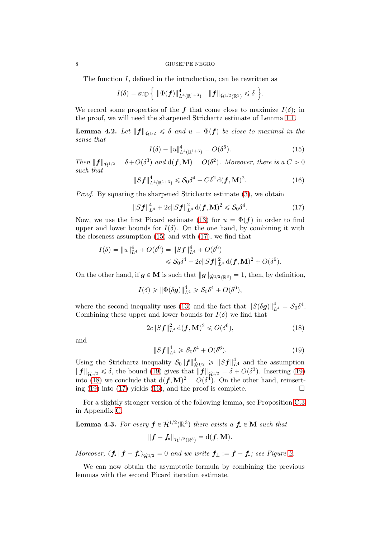#### 8 GIUSEPPE NEGRO

The function I, defined in the introduction, can be rewritten as

$$
I(\delta) = \sup \Big\{ \|\Phi(\bm{f})\|_{L^4(\mathbb{R}^{1+3})}^4 \Big\| \|\bm{f}\|_{\dot{\mathcal{H}}^{1/2}(\mathbb{R}^3)} \leq \delta \Big\}.
$$

We record some properties of the f that come close to maximize  $I(\delta)$ ; in the proof, we will need the sharpened Strichartz estimate of Lemma [1.1.](#page-1-0)

<span id="page-7-6"></span>**Lemma 4.2.** Let  $||f||_{\dot{H}^{1/2}} \le \delta$  and  $u = \Phi(f)$  be close to maximal in the sense that

<span id="page-7-4"></span><span id="page-7-1"></span><span id="page-7-0"></span>
$$
I(\delta) - \|u\|_{L^4(\mathbb{R}^{1+3})}^4 = O(\delta^6). \tag{15}
$$

Then  $||f||_{\dot{\mathcal{H}}^{1/2}} = \delta + O(\delta^3)$  and  $d(f, M) = O(\delta^2)$ . Moreover, there is a  $C > 0$ such that

$$
||Sf||_{L^{4}(\mathbb{R}^{1+3})}^{4} \leqslant S_{0}\delta^{4} - C\delta^{2} d(f, \mathbf{M})^{2}.
$$
 (16)

Proof. By squaring the sharpened Strichartz estimate [\(3\)](#page-1-1), we obtain

$$
||Sf||_{L^{4}}^{4} + 2c||Sf||_{L^{4}}^{2} d(f, M)^{2} \leq S_{0} \delta^{4}.
$$
 (17)

Now, we use the first Picard estimate [\(13\)](#page-6-2) for  $u = \Phi(f)$  in order to find upper and lower bounds for  $I(\delta)$ . On the one hand, by combining it with the closeness assumption [\(15\)](#page-7-0) and with [\(17\)](#page-7-1), we find that

$$
I(\delta) = ||u||_{L^4}^4 + O(\delta^6) = ||Sf||_{L^4}^4 + O(\delta^6)
$$
  
\$\leqslant S\_0 \delta^4 - 2c||Sf||\_{L^4}^2 d(f, M)^2 + O(\delta^6).

On the other hand, if  $g \in M$  is such that  $||g||_{\dot{H}^{1/2}(\mathbb{R}^3)} = 1$ , then, by definition,

$$
I(\delta) \geq \|\Phi(\delta \mathbf{g})\|_{L^4}^4 \geqslant \mathcal{S}_0 \delta^4 + O(\delta^6),
$$

where the second inequality uses [\(13\)](#page-6-2) and the fact that  $||S(\delta g)||_{L^4}^4 = S_0 \delta^4$ . Combining these upper and lower bounds for  $I(\delta)$  we find that

$$
2c||S\boldsymbol{f}||_{L^{4}}^{2}\mathrm{d}(\boldsymbol{f},\mathbf{M})^{2} \leqslant O(\delta^{6}),\tag{18}
$$

and

<span id="page-7-3"></span><span id="page-7-2"></span>
$$
||Sf||_{L^{4}}^{4} \geq S_{0}\delta^{4} + O(\delta^{6}).
$$
\n(19)

Using the Strichartz inequality  $S_0||f||_{\dot{\mathcal{H}}^{1/2}}^4 \geq ||Sf||_{L^4}^4$  and the assumption  $||f||_{\dot{\mathcal{H}}^{1/2}} \leq \delta$ , the bound [\(19\)](#page-7-2) gives that  $||f||_{\dot{\mathcal{H}}^{1/2}} = \delta + O(\delta^3)$ . Inserting (19) into [\(18\)](#page-7-3) we conclude that  $d(\mathbf{f}, \mathbf{M})^2 = O(\delta^4)$ . On the other hand, reinsert-ing [\(19\)](#page-7-2) into [\(17\)](#page-7-1) yields [\(16\)](#page-7-4), and the proof is complete.  $\Box$ 

For a slightly stronger version of the following lemma, see Proposition [C.3](#page-25-0) in Appendix [C.](#page-25-1)

# <span id="page-7-5"></span>**Lemma 4.3.** For every  $f \in \dot{\mathcal{H}}^{1/2}(\mathbb{R}^3)$  there exists a  $f_{\star} \in M$  such that  $||f - f_{\star}||_{\dot{H}^{1/2}(\mathbb{R}^3)} = d(f, M).$

Moreover,  $\langle f_{\star} | f - f_{\star} \rangle_{\dot{H}^{1/2}} = 0$  and we write  $f_{\perp} := f - f_{\star}$ ; see Figure [2.](#page-8-0)

We can now obtain the asymptotic formula by combining the previous lemmas with the second Picard iteration estimate.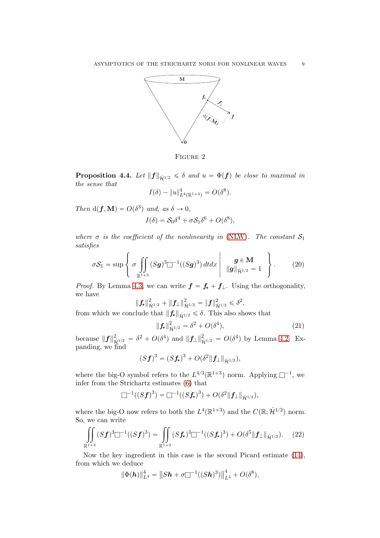<span id="page-8-0"></span>

FIGURE 2

<span id="page-8-4"></span>**Proposition 4.4.** Let  $||f||_{\dot{H}^{1/2}} \leq \delta$  and  $u = \Phi(f)$  be close to maximal in the sense that

$$
I(\delta) - \|u\|_{L^4(\mathbb{R}^{1+3})}^4 = O(\delta^8).
$$

Then  $d(\mathbf{f}, \mathbf{M}) = O(\delta^3)$  and, as  $\delta \to 0$ ,

$$
I(\delta) = S_0 \delta^4 + \sigma S_1 \delta^6 + O(\delta^8),
$$

where  $\sigma$  is the coefficient of the nonlinearity in [\(NLW\)](#page-0-2). The constant  $S_1$ satisfies

$$
\sigma S_1 = \sup \left\{ \sigma \iint\limits_{\mathbb{R}^{1+3}} (Sg)^3 \square^{-1}((Sg)^3) dt dx \middle| \frac{g \in \mathbf{M}}{\|g\|_{\dot{\mathcal{H}}^{1/2}} = 1} \right\}.
$$
 (20)

*Proof.* By Lemma [4.3,](#page-7-5) we can write  $f = f_{\star} + f_{\perp}$ . Using the orthogonality, we have

$$
\|\mathbf{f}_{\star}\|_{\dot{\mathcal{H}}^{1/2}}^2 + \|\mathbf{f}_{\perp}\|_{\dot{\mathcal{H}}^{1/2}}^2 = \|\mathbf{f}\|_{\dot{\mathcal{H}}^{1/2}}^2 \leq \delta^2,
$$

from which we conclude that  $\|\mathbf{f}_{\star}\|_{\dot{\mathcal{H}}^{1/2}} \leq \delta$ . This also shows that

<span id="page-8-3"></span><span id="page-8-2"></span>
$$
\|\mathbf{f}_{\star}\|_{\dot{\mathcal{H}}^{1/2}}^2 = \delta^2 + O(\delta^4),\tag{21}
$$

because  $||f||_{\dot{\mathcal{H}}^{1/2}}^2 = \delta^2 + O(\delta^4)$  and  $||f_{\perp}||_{\dot{\mathcal{H}}^{1/2}}^2 = O(\delta^4)$  by Lemma [4.2.](#page-7-6) Expanding, we find

<span id="page-8-1"></span>
$$
(Sf)^3 = (Sf_{\star})^3 + O(\delta^2 \|f_{\perp}\|_{\dot{\mathcal{H}}^{1/2}}),
$$

where the big-O symbol refers to the  $L^{4/3}(\mathbb{R}^{1+3})$  norm. Applying  $\square^{-1}$ , we infer from the Strichartz estimates [\(6\)](#page-2-3) that

$$
\Box^{-1}((Sf)^3) = \Box^{-1}((Sf_{\star})^3) + O(\delta^2||f_{\perp}||_{\dot{\mathcal{H}}^{1/2}}),
$$

where the big-O now refers to both the  $L^4(\mathbb{R}^{1+3})$  and the  $C(\mathbb{R}; \dot{\mathcal{H}}^{1/2})$  norm. So, we can write

$$
\iint\limits_{\mathbb{R}^{1+3}} (Sf)^3 \Box^{-1}((Sf)^3) = \iint\limits_{\mathbb{R}^{1+3}} (Sf_\star)^3 \Box^{-1}((Sf_\star)^3) + O(\delta^5 \|f_\perp\|_{\dot{\mathcal{H}}^{1/2}}). \tag{22}
$$

Now the key ingredient in this case is the second Picard estimate [\(14\)](#page-6-3), from which we deduce

$$
\|\Phi(\mathbf{h})\|_{L^4}^4 = \|Sh + \sigma \Box^{-1}((Sh)^3)\|_{L^4}^4 + O(\delta^8),
$$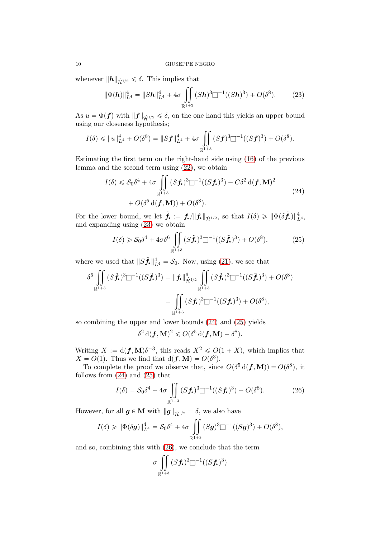whenever  $||h||_{\dot{\mathcal{H}}^{1/2}} \leq \delta$ . This implies that

<span id="page-9-0"></span>
$$
\|\Phi(\mathbf{h})\|_{L^4}^4 = \|Sh\|_{L^4}^4 + 4\sigma \iint\limits_{\mathbb{R}^{1+3}} (Sh)^3 \square^{-1}((Sh)^3) + O(\delta^8). \tag{23}
$$

As  $u = \Phi(f)$  with  $||f||_{\dot{\mathcal{H}}^{1/2}} \le \delta$ , on the one hand this yields an upper bound using our closeness hypothesis;

$$
I(\delta) \leq ||u||_{L^{4}}^{4} + O(\delta^{8}) = ||Sf||_{L^{4}}^{4} + 4\sigma \iint_{\mathbb{R}^{1+3}} (Sf)^{3} \square^{-1}((Sf)^{3}) + O(\delta^{8}).
$$

Estimating the first term on the right-hand side using [\(16\)](#page-7-4) of the previous lemma and the second term using [\(22\)](#page-8-1), we obtain

$$
I(\delta) \leqslant S_0 \delta^4 + 4\sigma \iint\limits_{\mathbb{R}^{1+3}} (Sf_{\star})^3 \square^{-1} ((Sf_{\star})^3) - C\delta^2 d(f, \mathbf{M})^2
$$
  
+  $O(\delta^5 d(f, \mathbf{M})) + O(\delta^8).$  (24)

For the lower bound, we let  $\tilde{f}_\star := f_\star / \|f_\star\|_{\dot{\mathcal{H}}^{1/2}}$ , so that  $I(\delta) \geq \|\Phi(\delta \tilde{f}_\star)\|_{L^4}^4$ , and expanding using [\(23\)](#page-9-0) we obtain

<span id="page-9-2"></span><span id="page-9-1"></span>
$$
I(\delta) \geqslant \mathcal{S}_0 \delta^4 + 4\sigma \delta^6 \iint\limits_{\mathbb{R}^{1+3}} (S\tilde{f}_\star)^3 \square^{-1} ((S\tilde{f}_\star)^3) + O(\delta^8),\tag{25}
$$

where we used that  $||S\tilde{f}_\star||_{L^4}^4 = \mathcal{S}_0$ . Now, using [\(21\)](#page-8-2), we see that

$$
\delta^6 \iint\limits_{\mathbb{R}^{1+3}} (S\tilde{f}_\star)^3 \Box^{-1}((S\tilde{f}_\star)^3) = \|f_\star\|_{\dot{\mathcal{H}}^{1/2}}^6 \iint\limits_{\mathbb{R}^{1+3}} (S\tilde{f}_\star)^3 \Box^{-1}((S\tilde{f}_\star)^3) + O(\delta^8)
$$

$$
= \iint\limits_{\mathbb{R}^{1+3}} (Sf_\star)^3 \Box^{-1}((Sf_\star)^3) + O(\delta^8),
$$

so combining the upper and lower bounds [\(24\)](#page-9-1) and [\(25\)](#page-9-2) yields

$$
\delta^2\,{\rm d}(\boldsymbol{f},\mathbf{M})^2\leqslant O(\delta^5\,{\rm d}(\boldsymbol{f},\mathbf{M})+\delta^8).
$$

Writing  $X := d(f, M) \delta^{-3}$ , this reads  $X^2 \leq O(1 + X)$ , which implies that  $X = O(1)$ . Thus we find that  $d(\boldsymbol{f}, \mathbf{M}) = O(\delta^3)$ .

To complete the proof we observe that, since  $O(\delta^5 d(\mathbf{f}, \mathbf{M})) = O(\delta^8)$ , it follows from [\(24\)](#page-9-1) and [\(25\)](#page-9-2) that

$$
I(\delta) = \mathcal{S}_0 \delta^4 + 4\sigma \iint\limits_{\mathbb{R}^{1+3}} (Sf_\star)^3 \square^{-1} ((Sf_\star)^3) + O(\delta^8). \tag{26}
$$

However, for all  $g \in M$  with  $||g||_{\dot{\mathcal{H}}^{1/2}} = \delta$ , we also have

$$
I(\delta) \geq \|\Phi(\delta \mathbf{g})\|_{L^4}^4 = \mathcal{S}_0 \delta^4 + 4\sigma \iint\limits_{\mathbb{R}^{1+3}} (S\mathbf{g})^3 \Box^{-1}((S\mathbf{g})^3) + O(\delta^8),
$$

and so, combining this with [\(26\)](#page-9-3), we conclude that the term

<span id="page-9-3"></span>
$$
\sigma \iint\limits_{\mathbb{R}^{1+3}} (Sf_{\star})^3 \square^{-1}((Sf_{\star})^3)
$$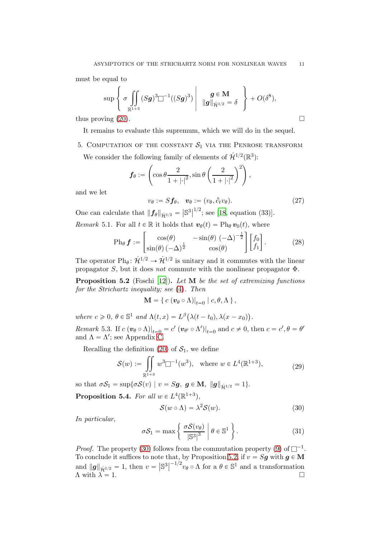must be equal to

$$
\sup \left\{ \sigma \iint_{\mathbb{R}^{1+3}} (Sg)^3 \Box^{-1}((Sg)^3) \middle| g \in \mathbf{M} \atop ||g||_{\mathcal{H}^{1/2}} = \delta \right\} + O(\delta^8),
$$

thus proving  $(20)$ .

It remains to evaluate this supremum, which we will do in the sequel.

5. COMPUTATION OF THE CONSTANT  $S_1$  via the Penrose transform We consider the following family of elements of  $\dot{\mathcal{H}}^{1/2}(\mathbb{R}^3)$ :

$$
\boldsymbol{f}_{\theta} := \left( \cos \theta \frac{2}{1 + |\cdot|^2}, \sin \theta \left( \frac{2}{1 + |\cdot|^2} \right)^2 \right),
$$

and we let

<span id="page-10-7"></span>
$$
v_{\theta} := Sf_{\theta}, \quad v_{\theta} := (v_{\theta}, \partial_t v_{\theta}). \tag{27}
$$

One can calculate that  $||f_\theta||_{\dot{\mathcal{H}}^{1/2}} = |\mathbb{S}^3|$  $^{1/2}$ ; see [\[18,](#page-29-4) equation (33)]. Remark 5.1. For all  $t \in \mathbb{R}$  it holds that  $v_{\theta}(t) = \text{Ph}_{\theta} v_{0}(t)$ , where

<span id="page-10-6"></span>*matrix* 5.1. For all 
$$
t \in \mathbb{R}
$$
 it holds that  $v_{\theta}(t) = 1$  if  $v_{0}(t)$ , where

$$
\text{Ph}_{\theta} \mathbf{f} := \begin{bmatrix} \cos(\theta) & -\sin(\theta) & (-\Delta)^{-\frac{1}{2}} \\ \sin(\theta) & (-\Delta)^{\frac{1}{2}} & \cos(\theta) \end{bmatrix} \begin{bmatrix} f_0 \\ f_1 \end{bmatrix} . \tag{28}
$$

The operator  $Ph_{\theta}$ :  $\mathcal{H}^{1/2} \rightarrow \mathcal{H}^{1/2}$  is unitary and it commutes with the linear propagator S, but it does not commute with the nonlinear propagator  $\Phi$ .

<span id="page-10-1"></span>**Proposition 5.2** (Foschi [\[12\]](#page-29-0)). Let  $M$  be the set of extremizing functions for the Strichartz inequality; see [\(4\)](#page-1-2). Then

$$
\mathbf{M} = \{ c \left( \boldsymbol{v}_{\theta} \circ \Lambda \right) |_{t=0} \mid c, \theta, \Lambda \},
$$

where  $c \ge 0$ ,  $\theta \in \mathbb{S}^1$  and  $\Lambda(t, x) = L^{\beta} (\lambda(t - t_0), \lambda(x - x_0)).$ Remark 5.3. If  $c(v_{\theta} \circ \Lambda)|_{t=0} = c'(v_{\theta'} \circ \Lambda')|_{t=0}$  and  $c \neq 0$ , then  $c = c', \theta = \theta'$ and  $\Lambda = \Lambda'$ ; see Appendix [C.](#page-25-1)

Recalling the definition  $(20)$  of  $S_1$ , we define

$$
\mathcal{S}(w) := \iint\limits_{\mathbb{R}^{1+3}} w^3 \Box^{-1}(w^3), \quad \text{where } w \in L^4(\mathbb{R}^{1+3}), \tag{29}
$$

<span id="page-10-5"></span>so that  $\sigma S_1 = \sup{\{\sigma S(v) \mid v = Sg, g \in M, ||g||_{\dot{H}^{1/2}} = 1\}}.$ **Proposition 5.4.** For all  $w \in L^4(\mathbb{R}^{1+3})$ ,

<span id="page-10-4"></span><span id="page-10-2"></span><span id="page-10-0"></span>
$$
S(w \circ \Lambda) = \lambda^2 S(w). \tag{30}
$$

In particular,

$$
\sigma S_1 = \max \left\{ \left. \frac{\sigma S(v_\theta)}{|\mathbb{S}^3|^3} \right| \theta \in \mathbb{S}^1 \right\}.
$$
 (31)

*Proof.* The property [\(30\)](#page-10-0) follows from the commutation property [\(9\)](#page-5-2) of  $\Box^{-1}$ . To conclude it suffices to note that, by Proposition [5.2,](#page-10-1) if  $v = Sg$  with  $g \in M$ and  $\|g\|_{\dot{\mathcal{H}}^{1/2}} = 1$ , then  $v = |\mathbb{S}^3|$  $^{-1/2}v_{\theta} \circ \Lambda$  for a  $\theta \in \mathbb{S}^1$  and a transformation  $\Lambda$  with  $\lambda = 1$ .

<span id="page-10-3"></span>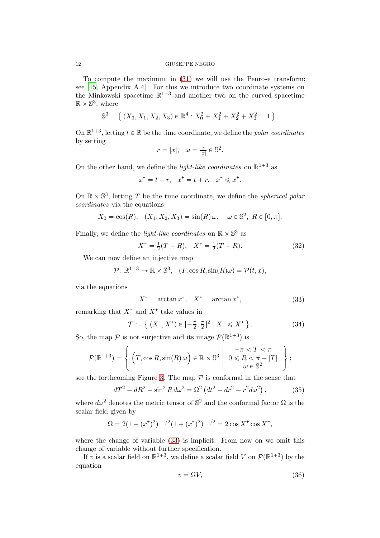To compute the maximum in [\(31\)](#page-10-2) we will use the Penrose transform; see [\[15,](#page-29-14) Appendix A.4]. For this we introduce two coordinate systems on the Minkowski spacetime  $\mathbb{R}^{1+3}$  and another two on the curved spacetime  $\mathbb{R} \times \mathbb{S}^3$ , where

$$
\mathbb{S}^3 = \left\{ (X_0, X_1, X_2, X_3) \in \mathbb{R}^4 : X_0^2 + X_1^2 + X_2^2 + X_3^2 = 1 \right\}.
$$

On  $\mathbb{R}^{1+3}$ , letting  $t \in \mathbb{R}$  be the time coordinate, we define the *polar coordinates* by setting

$$
r = |x|, \quad \omega = \frac{x}{|x|} \in \mathbb{S}^2.
$$

On the other hand, we define the *light-like coordinates* on  $\mathbb{R}^{1+3}$  as

$$
x^-=t-r,\quad x^+=t+r,\quad x^-\leqslant x^*.
$$

On  $\mathbb{R} \times \mathbb{S}^3$ , letting T be the time coordinate, we define the *spherical polar* coordinates via the equations

$$
X_0=\cos(R),\quad (X_1,X_2,X_3)=\sin(R)\,\omega,\quad \omega\in\mathbb{S}^2,\ R\in[0,\pi].
$$

Finally, we define the *light-like coordinates* on  $\mathbb{R} \times \mathbb{S}^3$  as

<span id="page-11-3"></span>
$$
X^{-} = \frac{1}{2}(T - R), \quad X^{+} = \frac{1}{2}(T + R). \tag{32}
$$

We can now define an injective map

$$
\mathcal{P}: \mathbb{R}^{1+3} \to \mathbb{R} \times \mathbb{S}^3, \quad (T, \cos R, \sin(R)\omega) = \mathcal{P}(t, x),
$$

via the equations

<span id="page-11-4"></span><span id="page-11-0"></span>
$$
X^- = \arctan x^-, \quad X^+ = \arctan x^+, \tag{33}
$$

remarking that  $X^-$  and  $X^+$  take values in

$$
\mathcal{T} := \left\{ (X^-, X^+) \in \left[ -\frac{\pi}{2}, \frac{\pi}{2} \right]^2 \mid X^- \leqslant X^+ \right\}.
$$
 (34)

So, the map  $P$  is not surjective and its image  $P(\mathbb{R}^{1+3})$  is

$$
\mathcal{P}(\mathbb{R}^{1+3}) = \left\{ \left( T, \cos R, \sin(R) \,\omega \right) \in \mathbb{R} \times \mathbb{S}^3 \middle| \begin{array}{c} -\pi < T < \pi \\ 0 < R < \pi - |T| \\ \omega \in \mathbb{S}^2 \end{array} \right\};
$$

see the forthcoming Figure [3.](#page-13-0) The map  $P$  is conformal in the sense that

$$
dT^{2} - dR^{2} - \sin^{2} R d\omega^{2} = \Omega^{2} (dt^{2} - dr^{2} - r^{2} d\omega^{2}), \qquad (35)
$$

where  $d\omega^2$  denotes the metric tensor of  $\mathbb{S}^2$  and the conformal factor  $\Omega$  is the scalar field given by

$$
\Omega = 2(1 + (x^*)^2)^{-1/2}(1 + (x^*)^2)^{-1/2} = 2\cos X^* \cos X^*,
$$

where the change of variable [\(33\)](#page-11-0) is implicit. From now on we omit this change of variable without further specification.

If v is a scalar field on  $\mathbb{R}^{1+3}$ , we define a scalar field V on  $\mathcal{P}(\mathbb{R}^{1+3})$  by the equation

<span id="page-11-2"></span><span id="page-11-1"></span>
$$
v = \Omega V,\tag{36}
$$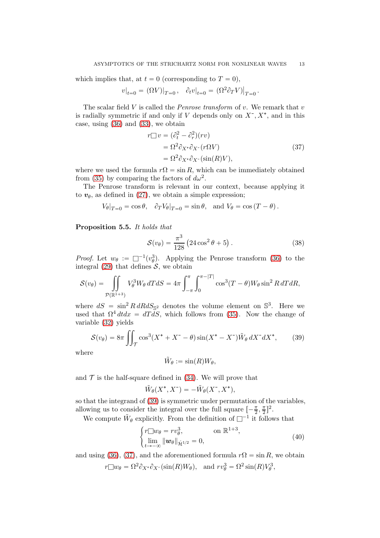which implies that, at  $t = 0$  (corresponding to  $T = 0$ ),

$$
v|_{t=0} = \left. (\Omega V)\right|_{T=0}, \quad \partial_t v|_{t=0} = \left. (\Omega^2 \partial_T V)\right|_{T=0}.
$$

The scalar field  $V$  is called the *Penrose transform* of  $v$ . We remark that  $v$ is radially symmetric if and only if V depends only on  $X^-, X^+,$  and in this case, using [\(36\)](#page-11-1) and [\(33\)](#page-11-0), we obtain

<span id="page-12-1"></span>
$$
r\Box v = (\partial_t^2 - \partial_r^2)(rv)
$$
  
=  $\Omega^2 \partial_{X^*} \partial_{X^-}(r\Omega V)$   
=  $\Omega^2 \partial_{X^*} \partial_{X^-}(\sin(R)V)$ , (37)

where we used the formula  $r\Omega = \sin R$ , which can be immediately obtained from [\(35\)](#page-11-2) by comparing the factors of  $d\omega^2$ .

The Penrose transform is relevant in our context, because applying it to  $v_{\theta}$ , as defined in [\(27\)](#page-10-3), we obtain a simple expression;

$$
V_{\theta}|_{T=0} = \cos \theta, \quad \partial_T V_{\theta}|_{T=0} = \sin \theta, \text{ and } V_{\theta} = \cos (T - \theta).
$$

<span id="page-12-4"></span>Proposition 5.5. It holds that

<span id="page-12-3"></span>
$$
S(v_{\theta}) = \frac{\pi^3}{128} (24 \cos^2 \theta + 5).
$$
 (38)

*Proof.* Let  $w_{\theta} := \Box^{-1}(v_{\theta}^3)$  $\theta$ . Applying the Penrose transform [\(36\)](#page-11-1) to the integral [\(29\)](#page-10-4) that defines  $S$ , we obtain

$$
S(v_{\theta}) = \iint_{\mathcal{P}(\mathbb{R}^{1+3})} V_{\theta}^{3} W_{\theta} dT dS = 4\pi \int_{-\pi}^{\pi} \int_{0}^{\pi - |T|} \cos^{3}(T - \theta) W_{\theta} \sin^{2} R dT dR,
$$

where  $dS = \sin^2 R \, dR \, dS_{\mathbb{S}^2}$  denotes the volume element on  $\mathbb{S}^3$ . Here we used that  $\Omega^4 dtdx = dTdS$ , which follows from [\(35\)](#page-11-2). Now the change of variable [\(32\)](#page-11-3) yields

$$
S(v_{\theta}) = 8\pi \iint_{\mathcal{T}} \cos^3(X^+ + X^- - \theta) \sin(X^+ - X^-) \tilde{W}_{\theta} dX^- dX^+, \tag{39}
$$

where

<span id="page-12-2"></span><span id="page-12-0"></span>
$$
\tilde{W}_{\theta} := \sin(R)W_{\theta},
$$

and  $\mathcal T$  is the half-square defined in [\(34\)](#page-11-4). We will prove that

$$
\tilde{W}_{\theta}(X^*, X^-) = -\tilde{W}_{\theta}(X^-, X^*),
$$

so that the integrand of [\(39\)](#page-12-0) is symmetric under permutation of the variables, allowing us to consider the integral over the full square  $\left[-\frac{\pi}{2},\frac{\pi}{2}\right]^2$ .

We compute  $\tilde{W}_{\theta}$  explicitly. From the definition of  $\Box^{-1}$  it follows that

$$
\begin{cases} r \square w_{\theta} = r v_{\theta}^3, & \text{on } \mathbb{R}^{1+3}, \\ \lim_{t \to -\infty} ||w_{\theta}||_{\dot{\mathcal{H}}^{1/2}} = 0, \end{cases}
$$
 (40)

and using [\(36\)](#page-11-1), [\(37\)](#page-12-1), and the aforementioned formula  $r\Omega = \sin R$ , we obtain

$$
r \Box w_{\theta} = \Omega^2 \partial_{X^*} \partial_{X^-} (\sin(R)W_{\theta}), \text{ and } rv_{\theta}^3 = \Omega^2 \sin(R) V_{\theta}^3,
$$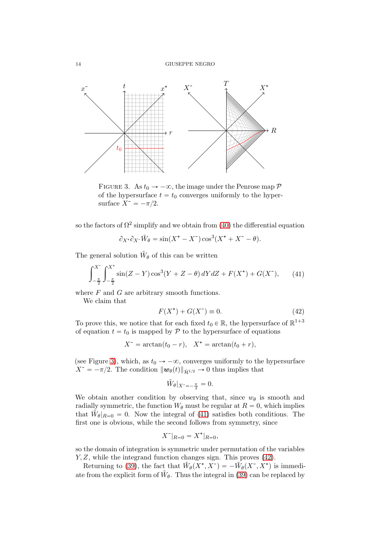<span id="page-13-0"></span>

FIGURE 3. As  $t_0 \rightarrow -\infty$ , the image under the Penrose map  $\mathcal P$ of the hypersurface  $t = t_0$  converges uniformly to the hypersurface  $X^- = -\pi/2$ .

so the factors of  $\Omega^2$  simplify and we obtain from [\(40\)](#page-12-2) the differential equation

$$
\partial_{X^*}\partial_{X^-}\tilde{W}_{\theta} = \sin(X^* - X^-)\cos^3(X^* + X^- - \theta).
$$

The general solution  $\tilde{W}_{\theta}$  of this can be written

$$
\int_{-\frac{\pi}{2}}^{X^-} \int_{-\frac{\pi}{2}}^{X^+} \sin(Z - Y) \cos^3(Y + Z - \theta) \, dY \, dZ + F(X^+) + G(X^-),\tag{41}
$$

where  $F$  and  $G$  are arbitrary smooth functions.

We claim that

<span id="page-13-2"></span><span id="page-13-1"></span>
$$
F(X^+) + G(X^-) \equiv 0.
$$
 (42)

To prove this, we notice that for each fixed  $t_0 \in \mathbb{R}$ , the hypersurface of  $\mathbb{R}^{1+3}$ of equation  $t = t_0$  is mapped by P to the hypersurface of equations

 $X^- = \arctan(t_0 - r), \quad X^+ = \arctan(t_0 + r),$ 

(see Figure [3\)](#page-13-0), which, as  $t_0 \rightarrow -\infty$ , converges uniformly to the hypersurface  $X^- = -\pi/2$ . The condition  $\|\mathbf{w}_{\theta}(t)\|_{\dot{\mathcal{H}}^{1/2}} \to 0$  thus implies that

$$
\tilde{W}_{\theta}|_{X^{-}=-\frac{\pi}{2}}=0.
$$

We obtain another condition by observing that, since  $w_{\theta}$  is smooth and radially symmetric, the function  $W_{\theta}$  must be regular at  $R = 0$ , which implies that  $\tilde{W}_{\theta}|_{R=0} = 0$ . Now the integral of [\(41\)](#page-13-1) satisfies both conditions. The first one is obvious, while the second follows from symmetry, since

$$
X^-|_{R=0} = X^+|_{R=0},
$$

so the domain of integration is symmetric under permutation of the variables  $Y, Z$ , while the integrand function changes sign. This proves  $(42)$ .

Returning to [\(39\)](#page-12-0), the fact that  $\tilde{W}_{\theta}(X^*, X^-) = -\tilde{W}_{\theta}(X^*, X^*)$  is immediate from the explicit form of  $\tilde{W}_{\theta}$ . Thus the integral in [\(39\)](#page-12-0) can be replaced by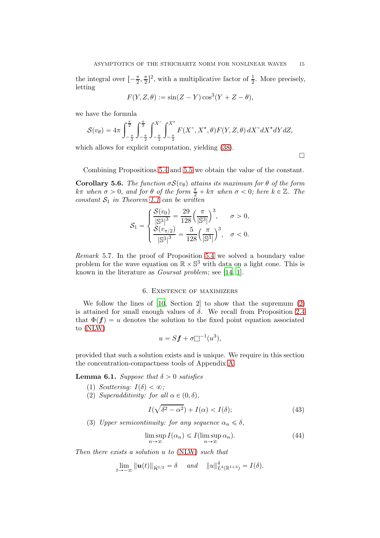the integral over  $\left[-\frac{\pi}{2}, \frac{\pi}{2}\right]^2$ , with a multiplicative factor of  $\frac{1}{2}$ . More precisely, letting

$$
F(Y, Z, \theta) := \sin(Z - Y)\cos^3(Y + Z - \theta),
$$

we have the formula

$$
\mathcal{S}(v_{\theta}) = 4\pi \int_{-\frac{\pi}{2}}^{\frac{\pi}{2}} \int_{-\frac{\pi}{2}}^{\frac{\pi}{2}} \int_{-\frac{\pi}{2}}^{X^-} \int_{-\frac{\pi}{2}}^{X^+} F(X^-, X^+, \theta) F(Y, Z, \theta) dX^- dX^+ dY dZ,
$$

which allows for explicit computation, yielding [\(38\)](#page-12-3).

 $\Box$ 

Combining Propositions [5.4](#page-10-5) and [5.5](#page-12-4) we obtain the value of the constant.

<span id="page-14-3"></span>**Corollary 5.6.** The function  $\sigma S(v_{\theta})$  attains its maximum for  $\theta$  of the form kπ when  $\sigma > 0$ , and for  $\theta$  of the form  $\frac{\pi}{2} + k\pi$  when  $\sigma < 0$ ; here  $k \in \mathbb{Z}$ . The constant  $S_1$  in Theorem [1.1](#page-1-3) can be written

$$
S_1 = \begin{cases} \frac{S(v_0)}{|\mathbb{S}^3|^3} = \frac{29}{128} \left(\frac{\pi}{|\mathbb{S}^3|}\right)^3, & \sigma > 0, \\ \frac{S(v_{\pi/2})}{|\mathbb{S}^3|^3} = \frac{5}{128} \left(\frac{\pi}{|\mathbb{S}^3|}\right)^3, & \sigma < 0. \end{cases}
$$

Remark 5.7. In the proof of Proposition [5.4](#page-10-5) we solved a boundary value problem for the wave equation on  $\mathbb{R} \times \mathbb{S}^3$  with data on a light cone. This is known in the literature as Goursat problem; see [\[14,](#page-29-15) [1\]](#page-28-4).

## 6. Existence of maximizers

We follow the lines of [\[10](#page-29-3), Section 2] to show that the supremum [\(2\)](#page-0-0) is attained for small enough values of  $\delta$ . We recall from Proposition [2.4](#page-2-1) that  $\Phi(f) = u$  denotes the solution to the fixed point equation associated to [\(NLW\)](#page-0-2)

$$
u = Sf + \sigma \Box^{-1}(u^3),
$$

provided that such a solution exists and is unique. We require in this section the concentration-compactness tools of Appendix [A.](#page-20-0)

<span id="page-14-2"></span>**Lemma 6.1.** Suppose that  $\delta > 0$  satisfies

- (1) Scattering:  $I(\delta) < \infty$ ;
- (2) Superadditivity: for all  $\alpha \in (0, \delta)$ ,

<span id="page-14-1"></span><span id="page-14-0"></span>
$$
I(\sqrt{\delta^2 - \alpha^2}) + I(\alpha) < I(\delta); \tag{43}
$$

(3) Upper semicontinuity: for any sequence  $\alpha_n \leq \delta$ ,

$$
\limsup_{n \to \infty} I(\alpha_n) \leqslant I(\limsup_{n \to \infty} \alpha_n). \tag{44}
$$

Then there exists a solution u to [\(NLW\)](#page-0-2) such that

$$
\lim_{t\to -\infty} \|\bm{u}(t)\|_{\dot{\mathcal{H}}^{1/2}} = \delta \quad \text{ and } \quad \|u\|_{L^4(\mathbb{R}^{1+3})}^4 = I(\delta).
$$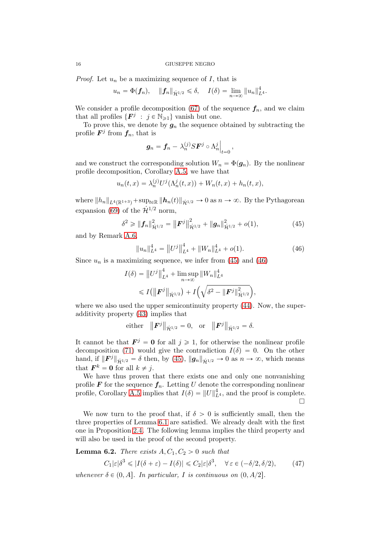*Proof.* Let  $u_n$  be a maximizing sequence of  $I$ , that is

$$
u_n = \Phi(f_n), \quad ||f_n||_{\dot{\mathcal{H}}^{1/2}} \le \delta, \quad I(\delta) = \lim_{n \to \infty} ||u_n||_{L^4}^4.
$$

We consider a profile decomposition [\(67\)](#page-21-0) of the sequence  $f_n$ , and we claim that all profiles  $\{F^j : j \in \mathbb{N}_{\geq 1}\}\)$  vanish but one.

To prove this, we denote by  $g_n$  the sequence obtained by subtracting the profile  $\mathbf{F}^j$  from  $\mathbf{f}_n$ , that is

$$
\boldsymbol{g}_n = \boldsymbol{f}_n - \lambda_n^{(j)} S \boldsymbol{F}^j \circ \Lambda_n^j \Big|_{t=0},
$$

and we construct the corresponding solution  $W_n = \Phi(g_n)$ . By the nonlinear profile decomposition, Corollary [A.5,](#page-22-0) we have that

$$
u_n(t,x) = \lambda_n^{(j)} U^j(\Lambda_n^j(t,x)) + W_n(t,x) + h_n(t,x),
$$

where  $||h_n||_{L^4(\mathbb{R}^{1+3})} + \sup_{t\in\mathbb{R}} ||h_n(t)||_{\dot{H}^{1/2}} \to 0$  as  $n \to \infty$ . By the Pythagorean expansion [\(69\)](#page-21-1) of the  $\dot{\mathcal{H}}^{1/2}$  norm,

$$
\delta^2 \geq \|f_n\|_{\dot{\mathcal{H}}^{1/2}}^2 = \|F^j\|_{\dot{\mathcal{H}}^{1/2}}^2 + \|g_n\|_{\dot{\mathcal{H}}^{1/2}}^2 + o(1),\tag{45}
$$

and by Remark [A.6,](#page-23-0)

<span id="page-15-1"></span><span id="page-15-0"></span>
$$
||u_n||_{L^4}^4 = ||U^j||_{L^4}^4 + ||W_n||_{L^4}^4 + o(1).
$$
 (46)

Since  $u_n$  is a maximizing sequence, we infer from [\(45\)](#page-15-0) and [\(46\)](#page-15-1)

$$
I(\delta) = ||U^j||_{L^4}^4 + \limsup_{n \to \infty} ||W_n||_{L^4}^4
$$
  
\$\leq I(||\mathbf{F}^j||\_{\dot{\mathcal{H}}^{1/2}}) + I(\sqrt{\delta^2 - ||\mathbf{F}^j||\_{\dot{\mathcal{H}}^{1/2}}^2}),\$

where we also used the upper semicontinuity property  $(44)$ . Now, the superadditivity property [\(43\)](#page-14-1) implies that

either 
$$
||F^j||_{\dot{\mathcal{H}}^{1/2}} = 0
$$
, or  $||F^j||_{\dot{\mathcal{H}}^{1/2}} = \delta$ .

It cannot be that  $\mathbf{F}^j = \mathbf{0}$  for all  $j \geq 1$ , for otherwise the nonlinear profile decomposition [\(71\)](#page-22-1) would give the contradiction  $I(\delta) = 0$ . On the other hand, if  $\|\mathbf{F}^{j}\|_{\dot{\mathcal{H}}^{1/2}} = \delta$  then, by [\(45\)](#page-15-0),  $\|\mathbf{g}_{n}\|_{\dot{\mathcal{H}}^{1/2}} \to 0$  as  $n \to \infty$ , which means that  $\mathbf{F}^k = \mathbf{0}$  for all  $k \neq j$ .

We have thus proven that there exists one and only one nonvanishing profile  $\mathbf F$  for the sequence  $\mathbf f_n$ . Letting U denote the corresponding nonlinear profile, Corollary [A.5](#page-22-0) implies that  $I(\delta) = ||U||_{L^4}^4$ , and the proof is complete.  $\Box$ 

We now turn to the proof that, if  $\delta > 0$  is sufficiently small, then the three properties of Lemma [6.1](#page-14-2) are satisfied. We already dealt with the first one in Proposition [2.4.](#page-2-1) The following lemma implies the third property and will also be used in the proof of the second property.

<span id="page-15-3"></span>**Lemma 6.2.** There exists  $A, C_1, C_2 > 0$  such that

<span id="page-15-2"></span>
$$
C_1|\varepsilon|\delta^3 \le |I(\delta + \varepsilon) - I(\delta)| \le C_2|\varepsilon|\delta^3, \quad \forall \,\varepsilon \in (-\delta/2, \delta/2),\tag{47}
$$

whenever  $\delta \in (0, A]$ . In particular, I is continuous on  $(0, A/2]$ .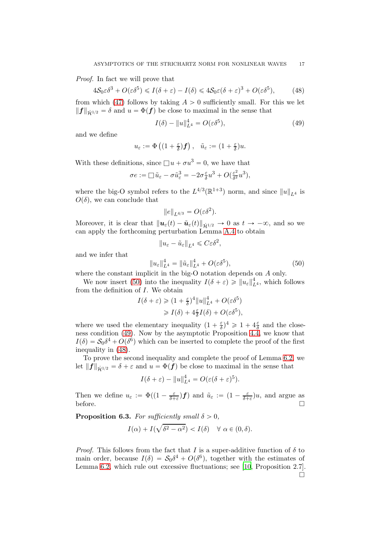Proof. In fact we will prove that

$$
4\mathcal{S}_0 \varepsilon \delta^3 + O(\varepsilon \delta^5) \le I(\delta + \varepsilon) - I(\delta) \le 4\mathcal{S}_0 \varepsilon (\delta + \varepsilon)^3 + O(\varepsilon \delta^5),\tag{48}
$$

from which [\(47\)](#page-15-2) follows by taking  $A > 0$  sufficiently small. For this we let  $||f||_{\dot{H}^{1/2}} = \delta$  and  $u = \Phi(f)$  be close to maximal in the sense that

<span id="page-16-2"></span><span id="page-16-1"></span>
$$
I(\delta) - ||u||_{L^4}^4 = O(\varepsilon \delta^5),\tag{49}
$$

and we define

$$
u_{\varepsilon}:=\Phi\left((1+\tfrac{\varepsilon}{\delta})f\right),\quad \tilde{u}_{\varepsilon}:=(1+\tfrac{\varepsilon}{\delta})u.
$$

With these definitions, since  $\Box u + \sigma u^3 = 0$ , we have that

$$
\sigma e := \Box \, \tilde{u}_{\varepsilon} - \sigma \tilde{u}_{\varepsilon}^3 = -2\sigma \frac{\varepsilon}{\delta} u^3 + O(\frac{\varepsilon^2}{\delta^2} u^3),
$$

where the big-O symbol refers to the  $L^{4/3}(\mathbb{R}^{1+3})$  norm, and since  $||u||_{L^4}$  is  $O(\delta)$ , we can conclude that

$$
||e||_{L^{4/3}} = O(\varepsilon \delta^2).
$$

Moreover, it is clear that  $\|\boldsymbol{u}_{\varepsilon}(t)-\tilde{\boldsymbol{u}}_{\varepsilon}(t)\|_{\dot{H}^{1/2}} \to 0$  as  $t \to -\infty$ , and so we can apply the forthcoming perturbation Lemma [A.4](#page-22-2) to obtain

<span id="page-16-0"></span>
$$
||u_{\varepsilon}-\tilde{u}_{\varepsilon}||_{L^4}\leqslant C\varepsilon\delta^2,
$$

and we infer that

$$
||u_{\varepsilon}||_{L^{4}}^{4} = ||\tilde{u}_{\varepsilon}||_{L^{4}}^{4} + O(\varepsilon \delta^{5}),
$$
\n(50)

where the constant implicit in the big-O notation depends on A only.

We now insert [\(50\)](#page-16-0) into the inequality  $I(\delta + \varepsilon) \ge ||u_{\varepsilon}||_{L^4}^4$ , which follows from the definition of I. We obtain

$$
I(\delta + \varepsilon) \geq (1 + \frac{\varepsilon}{\delta})^4 ||u||_{L^4}^4 + O(\varepsilon \delta^5)
$$
  

$$
\geq I(\delta) + 4\frac{\varepsilon}{\delta}I(\delta) + O(\varepsilon \delta^5),
$$

where we used the elementary inequality  $(1 + \frac{\varepsilon}{\delta})$  $(\frac{\varepsilon}{\delta})^4 \geq 1 + 4\frac{\varepsilon}{\delta}$  $\frac{\varepsilon}{\delta}$  and the closeness condition [\(49\)](#page-16-1). Now by the asymptotic Proposition [4.4,](#page-8-4) we know that  $I(\delta) = S_0 \delta^4 + O(\delta^6)$  which can be inserted to complete the proof of the first inequality in [\(48\)](#page-16-2).

To prove the second inequality and complete the proof of Lemma [6.2,](#page-15-3) we let  $||f||_{\dot{H}^{1/2}} = \delta + \varepsilon$  and  $u = \Phi(f)$  be close to maximal in the sense that

$$
I(\delta + \varepsilon) - ||u||_{L^4}^4 = O(\varepsilon(\delta + \varepsilon)^5).
$$

Then we define  $u_{\varepsilon} := \Phi((1 - \frac{\varepsilon}{\delta + \varepsilon})f)$  and  $\tilde{u}_{\varepsilon} := (1 - \frac{\varepsilon}{\delta + \varepsilon})u$ , and argue as before.  $\Box$ 

**Proposition 6.3.** For sufficiently small  $\delta > 0$ ,

$$
I(\alpha) + I(\sqrt{\delta^2 - \alpha^2}) < I(\delta) \quad \forall \ \alpha \in (0, \delta).
$$

*Proof.* This follows from the fact that I is a super-additive function of  $\delta$  to main order, because  $I(\delta) = S_0 \delta^4 + O(\delta^6)$ , together with the estimates of Lemma [6.2,](#page-15-3) which rule out excessive fluctuations; see [\[10](#page-29-3), Proposition 2.7].  $\Box$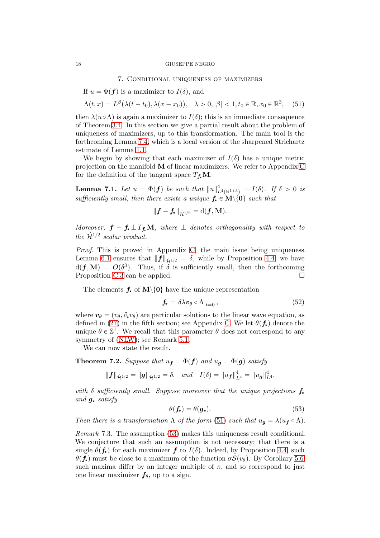#### 18 GIUSEPPE NEGRO

#### <span id="page-17-0"></span>7. Conditional uniqueness of maximizers

If  $u = \Phi(f)$  is a maximizer to  $I(\delta)$ , and

$$
\Lambda(t,x) = L^{\beta}\big(\lambda(t-t_0), \lambda(x-x_0)\big), \quad \lambda > 0, |\beta| < 1, t_0 \in \mathbb{R}, x_0 \in \mathbb{R}^3, \quad (51)
$$

then  $\lambda(u \circ \Lambda)$  is again a maximizer to  $I(\delta)$ ; this is an immediate consequence of Theorem [3.4.](#page-6-4) In this section we give a partial result about the problem of uniqueness of maximizers, up to this transformation. The main tool is the forthcoming Lemma [7.4,](#page-18-0) which is a local version of the sharpened Strichartz estimate of Lemma [1.1.](#page-1-0)

We begin by showing that each maximizer of  $I(\delta)$  has a unique metric projection on the manifold  **of linear maximizers. We refer to Appendix [C](#page-25-1)** for the definition of the tangent space  $T_f$ **M**.

<span id="page-17-4"></span>**Lemma 7.1.** Let  $u = \Phi(f)$  be such that  $||u||_{L^{4}(\mathbb{R}^{1+3})}^{4} = I(\delta)$ . If  $\delta > 0$  is sufficiently small, then there exists a unique  $f_{\star} \in M \setminus \{0\}$  such that

$$
\|\boldsymbol{f}-\boldsymbol{f_\star}\|_{\dot{\mathcal{H}}^{1/2}}=\mathrm{d}(\boldsymbol{f},\mathbf{M}).
$$

Moreover,  $f - f_{\star} \perp T_{\rm f} \mathbf{M}$ , where  $\perp$  denotes orthogonality with respect to the  $\dot{\mathcal{H}}^{1/2}$  scalar product.

Proof. This is proved in Appendix [C,](#page-25-1) the main issue being uniqueness. Lemma [6.1](#page-14-2) ensures that  $||f||_{\dot{H}^{1/2}} = \delta$ , while by Proposition [4.4,](#page-8-4) we have  $d(f, M) = O(\delta^3)$ . Thus, if  $\delta$  is sufficiently small, then the forthcoming Proposition [C.3](#page-25-0) can be applied.

The elements  $f_{\star}$  of  $M\setminus\{0\}$  have the unique representation

<span id="page-17-3"></span>
$$
\mathbf{f}_{\star} = \delta \lambda \mathbf{v}_{\theta} \circ \Lambda|_{t=0},\tag{52}
$$

where  $v_{\theta} = (v_{\theta}, \partial_t v_{\theta})$  are particular solutions to the linear wave equation, as defined in [\(27\)](#page-10-3) in the fifth section; see Appendix [C.](#page-25-1) We let  $\theta(f_{\star})$  denote the unique  $\theta \in \mathbb{S}^1$ . We recall that this parameter  $\theta$  does not correspond to any symmetry of [\(NLW\)](#page-0-2); see Remark [5.1.](#page-10-6)

We can now state the result.

<span id="page-17-2"></span>**Theorem 7.2.** Suppose that  $u_f = \Phi(f)$  and  $u_g = \Phi(g)$  satisfy

$$
\|\bm{f}\|_{\dot{\mathcal{H}}^{1/2}}=\|\bm{g}\|_{\dot{\mathcal{H}}^{1/2}}=\delta, \quad and \quad I(\delta)=\|u_{\bm{f}}\|_{L^4}^4=\|u_{\bm{g}}\|_{L^4}^4,
$$

with  $\delta$  sufficiently small. Suppose moreover that the unique projections  $f_{\star}$ and  $g_{\star}$  satisfy

<span id="page-17-1"></span>
$$
\theta(\mathbf{f}_{\star}) = \theta(\mathbf{g}_{\star}). \tag{53}
$$

Then there is a transformation  $\Lambda$  of the form [\(51\)](#page-17-0) such that  $u_{g} = \lambda (u_{f} \circ \Lambda)$ .

Remark 7.3. The assumption [\(53\)](#page-17-1) makes this uniqueness result conditional. We conjecture that such an assumption is not necessary; that there is a single  $\theta(f_{\star})$  for each maximizer f to  $I(\delta)$ . Indeed, by Proposition [4.4,](#page-8-4) such  $\theta(\mathbf{f}_{\bullet})$  must be close to a maximum of the function  $\sigma \mathcal{S}(v_{\theta})$ . By Corollary [5.6,](#page-14-3) such maxima differ by an integer multiple of  $\pi$ , and so correspond to just one linear maximizer  $f_{\theta}$ , up to a sign.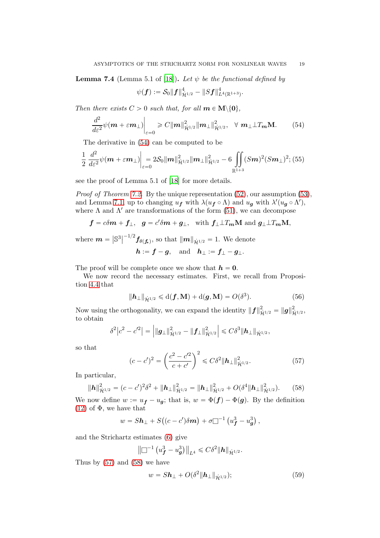<span id="page-18-0"></span>**Lemma 7.4** (Lemma 5.1 of [\[18](#page-29-4)]). Let  $\psi$  be the functional defined by

<span id="page-18-6"></span><span id="page-18-1"></span>
$$
\psi({\bm f}) := \mathcal{S}_0 \|{\bm f}\|^4_{\dot{\mathcal{H}}^{1/2}} - \|S{\bm f}\|^4_{L^4(\mathbb{R}^{1+3})}.
$$

Then there exists  $C > 0$  such that, for all  $m \in M \setminus \{0\},$ 

$$
\frac{d^2}{d\varepsilon^2}\psi(\mathbf{m}+\varepsilon\mathbf{m}_{\perp})\Big|_{\varepsilon=0}\geq C\|\mathbf{m}\|_{\dot{\mathcal{H}}^{1/2}}^2\|\mathbf{m}_{\perp}\|_{\dot{\mathcal{H}}^{1/2}}^2, \quad \forall \ \mathbf{m}_{\perp}\perp T_{\mathbf{m}}\mathbf{M}.\tag{54}
$$

The derivative in [\(54\)](#page-18-1) can be computed to be

$$
\frac{1}{2} \frac{d^2}{d\varepsilon^2} \psi(m + \varepsilon m_\perp) \bigg|_{\varepsilon=0} = 2\mathcal{S}_0 \|m\|_{\dot{\mathcal{H}}^{1/2}}^2 \|m_\perp\|_{\dot{\mathcal{H}}^{1/2}}^2 - 6 \iint_{\mathbb{R}^{1+3}} (Sm)^2 (Sm_\perp)^2; (55)
$$

see the proof of Lemma 5.1 of [\[18](#page-29-4)] for more details.

Proof of Theorem [7.2.](#page-17-2) By the unique representation [\(52\)](#page-17-3), our assumption [\(53\)](#page-17-1), and Lemma [7.1,](#page-17-4) up to changing  $u_f$  with  $\lambda (u_f \circ \Lambda)$  and  $u_g$  with  $\lambda'(u_g \circ \Lambda')$ , where  $\Lambda$  and  $\Lambda'$  are transformations of the form [\(51\)](#page-17-0), we can decompose

$$
f = c\delta m + f_{\perp}, \quad g = c'\delta m + g_{\perp}, \text{ with } f_{\perp} \perp T_m \mathbf{M} \text{ and } g_{\perp} \perp T_m \mathbf{M},
$$

where  $m = |\mathbb{S}^3|$  $\int_{0}^{-1/2} f_{\theta(\mathbf{f},\mathbf{k})}$ , so that  $\|\mathbf{m}\|_{\dot{\mathcal{H}}^{1/2}} = 1$ . We denote  $h := f - g$ , and  $h_{\perp} := f_{\perp} - g_{\perp}$ .

The proof will be complete once we show that  $h = 0$ .

We now record the necessary estimates. First, we recall from Proposition [4.4](#page-8-4) that

<span id="page-18-5"></span>
$$
\|\mathbf{h}_{\perp}\|_{\dot{\mathcal{H}}^{1/2}} \leq d(\mathbf{f}, \mathbf{M}) + d(\mathbf{g}, \mathbf{M}) = O(\delta^3). \tag{56}
$$

Now using the orthogonality, we can expand the identity  $||f||_{\dot{\mathcal{H}}^{1/2}}^2 = ||g||_{\dot{\mathcal{H}}^{1/2}}^2$ , to obtain

$$
\delta^2 \big| c^2 - c'^2 \big| = \left| \|\boldsymbol{g}_{\perp}\|_{\dot{\mathcal{H}}^{1/2}}^2 - \|\boldsymbol{f}_{\perp}\|_{\dot{\mathcal{H}}^{1/2}}^2 \right| \leqslant C \delta^3 \|\boldsymbol{h}_{\perp}\|_{\dot{\mathcal{H}}^{1/2}},
$$

so that

<span id="page-18-3"></span><span id="page-18-2"></span>
$$
(c - c')^{2} = \left(\frac{c^{2} - c'^{2}}{c + c'}\right)^{2} \leq C\delta^{2} \|\mathbf{h}_{\perp}\|_{\dot{\mathcal{H}}^{1/2}}^{2}.
$$
 (57)

In particular,

$$
\|\boldsymbol{h}\|_{\dot{\mathcal{H}}^{1/2}}^2 = (c-c')^2 \delta^2 + \|\boldsymbol{h}_{\perp}\|_{\dot{\mathcal{H}}^{1/2}}^2 = \|\boldsymbol{h}_{\perp}\|_{\dot{\mathcal{H}}^{1/2}}^2 + O(\delta^4 \|\boldsymbol{h}_{\perp}\|_{\dot{\mathcal{H}}^{1/2}}^2). \qquad (58)
$$

We now define  $w := u_f - u_g$ ; that is,  $w = \Phi(f) - \Phi(g)$ . By the definition [\(12\)](#page-6-1) of  $\Phi$ , we have that

$$
w = S\mathbf{h}_{\perp} + S((c - c')\delta \mathbf{m}) + \sigma \square^{-1} (u_f^3 - u_g^3),
$$

and the Strichartz estimates [\(6\)](#page-2-3) give

$$
\left\|\Box^{-1}\left(u_{\bm{f}}^3-u_{\bm{g}}^3\right)\right\|_{L^4}\leqslant C\delta^2\|\bm{h}\|_{\dot{\mathcal{H}}^{1/2}}.
$$

Thus by [\(57\)](#page-18-2) and [\(58\)](#page-18-3) we have

<span id="page-18-4"></span>
$$
w = S\mathbf{h}_{\perp} + O(\delta^2 \|\mathbf{h}_{\perp}\|_{\dot{\mathcal{H}}^{1/2}}); \tag{59}
$$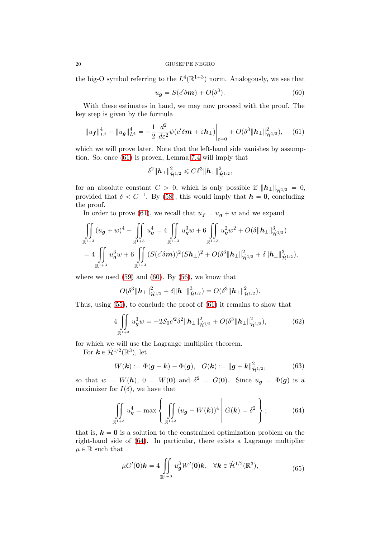the big-O symbol referring to the  $L^4(\mathbb{R}^{1+3})$  norm. Analogously, we see that

<span id="page-19-1"></span><span id="page-19-0"></span>
$$
u_{g} = S(c'\delta m) + O(\delta^{3}).
$$
\n(60)

With these estimates in hand, we may now proceed with the proof. The key step is given by the formula

$$
||u_f||_{L^4}^4 - ||u_g||_{L^4}^4 = -\frac{1}{2} \frac{d^2}{d\varepsilon^2} \psi(c'\delta m + \varepsilon h_\perp) \bigg|_{\varepsilon=0} + O(\delta^3 ||h_\perp||_{\dot{\mathcal{H}}^{1/2}}^2), \quad (61)
$$

which we will prove later. Note that the left-hand side vanishes by assumption. So, once [\(61\)](#page-19-0) is proven, Lemma [7.4](#page-18-0) will imply that

$$
\delta^2 \| \bm{h}_{\perp} \|_{\dot{\mathcal{H}}^{1/2}}^2 \leqslant C \delta^3 \| \bm{h}_{\perp} \|_{\dot{\mathcal{H}}^{1/2}}^2,
$$

for an absolute constant  $C > 0$ , which is only possible if  $||h_{\perp}||_{\dot{\mathcal{H}}^{1/2}} = 0$ , provided that  $\delta < C^{-1}$ . By [\(58\)](#page-18-3), this would imply that  $h = 0$ , concluding the proof.

In order to prove [\(61\)](#page-19-0), we recall that  $u_f = u_q + w$  and we expand

$$
\iint_{\mathbb{R}^{1+3}} (u_{g} + w)^{4} - \iint_{\mathbb{R}^{1+3}} u_{g}^{4} = 4 \iint_{\mathbb{R}^{1+3}} u_{g}^{3}w + 6 \iint_{\mathbb{R}^{1+3}} u_{g}^{2}w^{2} + O(\delta ||\mathbf{h}_{\perp}||_{\dot{\mathcal{H}}^{1/2}}^{3})
$$
  
= 4 \iint\_{\mathbb{R}^{1+3}} u\_{g}^{3}w + 6 \iint\_{\mathbb{R}^{1+3}} (S(c'\delta \mathbf{m}))^{2} (S \mathbf{h}\_{\perp})^{2} + O(\delta^{3} ||\mathbf{h}\_{\perp}||\_{\dot{\mathcal{H}}^{1/2}}^{2} + \delta ||\mathbf{h}\_{\perp}||\_{\dot{\mathcal{H}}^{1/2}}^{3}),

where we used  $(59)$  and  $(60)$ . By  $(56)$ , we know that

<span id="page-19-5"></span>
$$
O(\delta^3||\mathbf{h}_{\perp}||_{\dot{\mathcal{H}}^{1/2}}^2+\delta||\mathbf{h}_{\perp}||_{\dot{\mathcal{H}}^{1/2}}^3)=O(\delta^3||\mathbf{h}_{\perp}||_{\dot{\mathcal{H}}^{1/2}}^2).
$$

Thus, using [\(55\)](#page-18-6), to conclude the proof of [\(61\)](#page-19-0) it remains to show that

$$
4\iint\limits_{\mathbb{R}^{1+3}} u_g^3 w = -2\mathcal{S}_0 c'^2 \delta^2 \|h_\perp\|_{\dot{\mathcal{H}}^{1/2}}^2 + O(\delta^3 \|h_\perp\|_{\dot{\mathcal{H}}^{1/2}}^2),\tag{62}
$$

for which we will use the Lagrange multiplier theorem.

For  $\mathbf{k} \in \dot{\mathcal{H}}^{1/2}(\mathbb{R}^3)$ , let

<span id="page-19-3"></span>
$$
W(\mathbf{k}) := \Phi(\mathbf{g} + \mathbf{k}) - \Phi(\mathbf{g}), \quad G(\mathbf{k}) := ||\mathbf{g} + \mathbf{k}||_{\dot{\mathcal{H}}^{1/2}}^2,
$$
(63)

so that  $w = W(h)$ ,  $0 = W(0)$  and  $\delta^2 = G(0)$ . Since  $u_g = \Phi(g)$  is a maximizer for  $I(\delta)$ , we have that

$$
\iint\limits_{\mathbb{R}^{1+3}} u_g^4 = \max \left\{ \iint\limits_{\mathbb{R}^{1+3}} (u_g + W(\mathbf{k}))^4 \middle| G(\mathbf{k}) = \delta^2 \right\};\tag{64}
$$

that is,  $k = 0$  is a solution to the constrained optimization problem on the right-hand side of [\(64\)](#page-19-2). In particular, there exists a Lagrange multiplier  $\mu \in \mathbb{R}$  such that

<span id="page-19-4"></span><span id="page-19-2"></span>
$$
\mu G'(\mathbf{0})\mathbf{k} = 4 \iint\limits_{\mathbb{R}^{1+3}} u_g^3 W'(\mathbf{0})\mathbf{k}, \quad \forall \mathbf{k} \in \dot{\mathcal{H}}^{1/2}(\mathbb{R}^3), \tag{65}
$$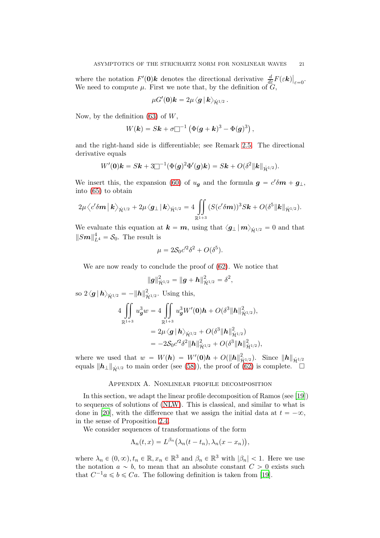where the notation  $F'(\mathbf{0})\mathbf{k}$  denotes the directional derivative  $\frac{d}{d\varepsilon}F(\varepsilon \mathbf{k})|_{\varepsilon=0}$ . We need to compute  $\mu$ . First we note that, by the definition of  $G$ ,

$$
\mu G'(\boldsymbol{0})\boldsymbol{k}=2\mu\bra{\boldsymbol{g}}\boldsymbol{k}\rangle_{\dot{\mathcal{H}}^{1/2}}\,.
$$

Now, by the definition  $(63)$  of W,

$$
W(\mathbf{k}) = S\mathbf{k} + \sigma \Box^{-1} \left( \Phi(\mathbf{g} + \mathbf{k})^3 - \Phi(\mathbf{g})^3 \right),
$$

and the right-hand side is differentiable; see Remark [2.5.](#page-3-0) The directional derivative equals

$$
W'(0) \mathbf{k} = S \mathbf{k} + 3 \Box^{-1} (\Phi(g)^2 \Phi'(g) \mathbf{k}) = S \mathbf{k} + O(\delta^2 \| \mathbf{k} \|_{\dot{\mathcal{H}}^{1/2}}).
$$

We insert this, the expansion [\(60\)](#page-19-1) of  $u_{g}$  and the formula  $g = c' \delta m + g_{\perp}$ , into [\(65\)](#page-19-4) to obtain

$$
2\mu \left\langle c'\delta\boldsymbol{m} \left|\boldsymbol{k}\right\rangle_{\dot{\mathcal{H}}^{1/2}}+2\mu \left\langle \boldsymbol{g}_{\perp}\right|\boldsymbol{k}\right\rangle_{\dot{\mathcal{H}}^{1/2}}=4\iint\limits_{\mathbb{R}^{1+3}}(S(c'\delta\boldsymbol{m}))^3S\boldsymbol{k}+O(\delta^5\|\boldsymbol{k}\|_{\dot{\mathcal{H}}^{1/2}}).
$$

We evaluate this equation at  $\mathbf{k} = \mathbf{m}$ , using that  $\langle \mathbf{g}_{\perp} | \mathbf{m} \rangle_{\dot{\mathbf{H}}^{1/2}} = 0$  and that  $||Sm||_{L^4}^4 = \mathcal{S}_0$ . The result is

$$
\mu = 2\mathcal{S}_0 c'^2 \delta^2 + O(\delta^5).
$$

We are now ready to conclude the proof of [\(62\)](#page-19-5). We notice that

$$
\|\bm{g}\|_{\dot{\mathcal{H}}^{1/2}}^2 = \|\bm{g} + \bm{h}\|_{\dot{\mathcal{H}}^{1/2}}^2 = \delta^2,
$$

so  $2\langle g | h \rangle_{\dot{\mathcal{H}}^{1/2}} = - \| h \|_{\dot{\mathcal{H}}^{1/2}}^2$ . Using this,

$$
4 \iint_{\mathbb{R}^{1+3}} u_g^3 w = 4 \iint_{\mathbb{R}^{1+3}} u_g^3 W'(0) \mathbf{h} + O(\delta^3 \| \mathbf{h} \|_{\dot{\mathcal{H}}^{1/2}}^2),
$$
  
=  $2\mu \langle \mathbf{g} | \mathbf{h} \rangle_{\dot{\mathcal{H}}^{1/2}} + O(\delta^3 \| \mathbf{h} \|_{\dot{\mathcal{H}}^{1/2}}^2)$   
=  $-2\mathcal{S}_0 c'^2 \delta^2 \| \mathbf{h} \|_{\dot{\mathcal{H}}^{1/2}}^2 + O(\delta^3 \| \mathbf{h} \|_{\dot{\mathcal{H}}^{1/2}}^2),$ 

where we used that  $w = W(h) = W'(0)h + O(||h||^2_{\mathcal{H}^{1/2}})$ . Since  $||h||_{\mathcal{H}^{1/2}}$ equals  $\|\mathbf{h}_{\perp}\|_{\dot{\mathbf{H}}^{1/2}}$  to main order (see [\(58\)](#page-18-3)), the proof of [\(62\)](#page-19-5) is complete.  $\square$ 

## Appendix A. Nonlinear profile decomposition

<span id="page-20-0"></span>In this section, we adapt the linear profile decomposition of Ramos (see [\[19\]](#page-29-16)) to sequences of solutions of [\(NLW\)](#page-0-2). This is classical, and similar to what is done in [\[20](#page-29-8)], with the difference that we assign the initial data at  $t = -\infty$ , in the sense of Proposition [2.4.](#page-2-1)

We consider sequences of transformations of the form

$$
\Lambda_n(t,x)=L^{\beta_n}\big(\lambda_n(t-t_n),\lambda_n(x-x_n)\big),\,
$$

where  $\lambda_n \in (0, \infty), t_n \in \mathbb{R}, x_n \in \mathbb{R}^3$  and  $\beta_n \in \mathbb{R}^3$  with  $|\beta_n| < 1$ . Here we use the notation  $a \sim b$ , to mean that an absolute constant  $C > 0$  exists such that  $C^{-1}a \leq b \leq C_a$ . The following definition is taken from [\[19\]](#page-29-16).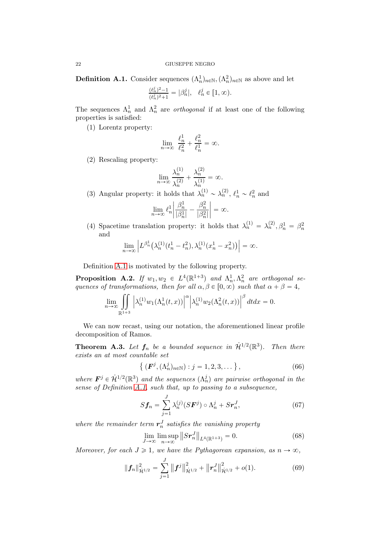<span id="page-21-2"></span>**Definition A.1.** Consider sequences  $(\Lambda_n^1)$  $_n^1)_{n \in \mathbb{N}}, (\Lambda_n^2)$  $_n^2)_{n \in \mathbb{N}}$  as above and let

$$
\frac{(\ell_n^j)^2 - 1}{(\ell_n^j)^2 + 1} = |\beta_n^j|, \quad \ell_n^j \in [1, \infty).
$$

The sequences  $\Lambda_n^1$  and  $\Lambda_n^2$  are *orthogonal* if at least one of the following properties is satisfied:

(1) Lorentz property:

$$
\lim_{n\to\infty}\ \frac{\ell_n^1}{\ell_n^2}+\frac{\ell_n^2}{\ell_n^1}=\infty.
$$

(2) Rescaling property:

$$
\lim_{n \to \infty} \frac{\lambda_n^{(1)}}{\lambda_n^{(2)}} + \frac{\lambda_n^{(2)}}{\lambda_n^{(1)}} = \infty.
$$

(3) Angular property: it holds that  $\lambda_n^{(1)} \sim \lambda_n^{(2)}$ ,  $\ell_n^1 \sim \ell_n^2$  and

$$
\lim_{n \to \infty} \ell_n^1 \left| \frac{\beta_n^1}{|\beta_n^1|} - \frac{\beta_n^2}{|\beta_n^2|} \right| = \infty.
$$

(4) Spacetime translation property: it holds that  $\lambda_n^{(1)} = \lambda_n^{(2)}$ ,  $\beta_n^1 = \beta_n^2$ n and

$$
\lim_{n \to \infty} \left| L^{\beta_n^1}(\lambda_n^{(1)}(t_n^1 - t_n^2), \lambda_n^{(1)}(x_n^1 - x_n^2)) \right| = \infty.
$$

Definition [A.1](#page-21-2) is motivated by the following property.

<span id="page-21-5"></span>**Proposition A.2.** If  $w_1, w_2 \in L^4(\mathbb{R}^{1+3})$  and  $\Lambda_n^1$  $\frac{1}{n}, \Lambda_n^2$  are orthogonal sequences of transformations, then for all  $\alpha, \beta \in [0, \infty)$  such that  $\alpha + \beta = 4$ ,

$$
\lim_{n\to\infty}\iint\limits_{\mathbb{R}^{1+3}}\left|\lambda^{(1)}_n w_1(\Lambda^1_n(t,x))\right|^\alpha\left|\lambda^{(1)}_n w_2(\Lambda^2_n(t,x))\right|^\beta dtdx=0.
$$

We can now recast, using our notation, the aforementioned linear profile decomposition of Ramos.

<span id="page-21-3"></span>**Theorem A.3.** Let  $f_n$  be a bounded sequence in  $\mathcal{H}^{1/2}(\mathbb{R}^3)$ . Then there exists an at most countable set

<span id="page-21-4"></span>
$$
\{ (F^{j}, (\Lambda^{j}_{n})_{n \in \mathbb{N}}) : j = 1, 2, 3, ... \},
$$
\n(66)

where  $\mathbf{F}^j \in \mathcal{H}^{1/2}(\mathbb{R}^3)$  and the sequences  $(\Lambda_n^j)$  are pairwise orthogonal in the sense of Definition [A.1,](#page-21-2) such that, up to passing to a subsequence,

<span id="page-21-0"></span>
$$
Sf_n = \sum_{j=1}^{J} \lambda_n^{(j)} (S\mathbf{F}^j) \circ \Lambda_n^j + S\mathbf{r}_n^J, \tag{67}
$$

where the remainder term  $r_n^J$  satisfies the vanishing property

<span id="page-21-6"></span><span id="page-21-1"></span>
$$
\lim_{J \to \infty} \limsup_{n \to \infty} ||Sr_n^J||_{L^4(\mathbb{R}^{1+3})} = 0.
$$
\n(68)

Moreover, for each  $J \geq 1$ , we have the Pythagorean expansion, as  $n \to \infty$ ,

$$
\|\boldsymbol{f}_n\|_{\dot{\mathcal{H}}^{1/2}}^2 = \sum_{j=1}^J \left\|\boldsymbol{f}^j\right\|_{\dot{\mathcal{H}}^{1/2}}^2 + \left\|\boldsymbol{r}_n^J\right\|_{\dot{\mathcal{H}}^{1/2}}^2 + o(1). \tag{69}
$$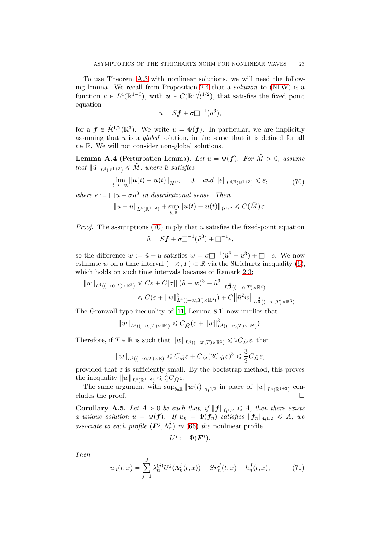To use Theorem [A.3](#page-21-3) with nonlinear solutions, we will need the following lemma. We recall from Proposition [2.4](#page-2-1) that a solution to [\(NLW\)](#page-0-2) is a function  $u \in L^4(\mathbb{R}^{1+3})$ , with  $u \in C(\mathbb{R}; \dot{\mathcal{H}}^{1/2})$ , that satisfies the fixed point equation

<span id="page-22-3"></span>
$$
u = Sf + \sigma \Box^{-1}(u^3),
$$

for a  $f \in \mathcal{H}^{1/2}(\mathbb{R}^3)$ . We write  $u = \Phi(f)$ . In particular, we are implicitly assuming that  $u$  is a *global* solution, in the sense that it is defined for all  $t \in \mathbb{R}$ . We will not consider non-global solutions.

<span id="page-22-2"></span>**Lemma A.4** (Perturbation Lemma). Let  $u = \Phi(f)$ . For  $\tilde{M} > 0$ , assume that  $\|\tilde{u}\|_{L^4(\mathbb{R}^1+3)} \leq \tilde{M}$ , where  $\tilde{u}$  satisfies

$$
\lim_{t \to -\infty} \|\mathbf{u}(t) - \tilde{\mathbf{u}}(t)\|_{\dot{\mathcal{H}}^{1/2}} = 0, \quad \text{and} \quad \|e\|_{L^{4/3}(\mathbb{R}^{1+3})} \leq \varepsilon,
$$
 (70)

where  $e := \Box \tilde{u} - \sigma \tilde{u}^3$  in distributional sense. Then

$$
\|u-\tilde u\|_{L^4(\mathbb{R}^{1+3})}+\sup_{t\in\mathbb{R}}\|u(t)-\tilde u(t)\|_{\dot{\mathcal H}^{1/2}}\leqslant C(\tilde M)\,\varepsilon.
$$

*Proof.* The assumptions [\(70\)](#page-22-3) imply that  $\tilde{u}$  satisfies the fixed-point equation  $\tilde{u} = Sf + \sigma \Box^{-1}(\tilde{u}^3) + \Box^{-1}e,$ 

so the difference  $w := \tilde{u} - u$  satisfies  $w = \sigma \Box^{-1}(\tilde{u}^3 - u^3) + \Box^{-1}e$ . We now estimate w on a time interval  $(-\infty, T) \subset \mathbb{R}$  via the Strichartz inequality [\(6\)](#page-2-3), which holds on such time intervals because of Remark [2.3;](#page-2-4)

$$
\begin{aligned} \Vert w\Vert_{L^4((-\infty,T)\times \mathbb{R}^3)} &\leqslant C\varepsilon + C|\sigma|\|(\tilde{u}+w)^3 - \tilde{u}^3\|_{L^{\frac{4}{3}}((-\infty,T)\times \mathbb{R}^3)}\\ &\leqslant C(\varepsilon+\Vert w\Vert_{L^4((-\infty,T)\times \mathbb{R}^3)}^3) + C\big\|\tilde{u}^2w\big\|_{L^{\frac{4}{3}}((-\infty,T)\times \mathbb{R}^3)}.\end{aligned}
$$

The Gronwall-type inequality of [\[11](#page-29-17), Lemma 8.1] now implies that

$$
\|w\|_{L^4((-\infty,T)\times{\mathbb{R}}^3)}\leqslant C_{\tilde{M}}(\varepsilon+\|w\|_{L^4((-\infty,T)\times{\mathbb{R}}^3)}^3).
$$

Therefore, if  $T \in \mathbb{R}$  is such that  $||w||_{L^4((-\infty,T)\times\mathbb{R}^3)} \leq 2C_{\tilde{M}}\varepsilon$ , then

$$
\|w\|_{L^4((-\infty,T)\times \mathbb{R})}\leqslant C_{\tilde{M}}\varepsilon +C_{\tilde{M}}(2C_{\tilde{M}}\varepsilon)^3\leqslant \frac{3}{2}C_{\tilde{M}}\varepsilon,
$$

provided that  $\varepsilon$  is sufficiently small. By the bootstrap method, this proves the inequality  $||w||_{L^4(\mathbb{R}^{1+3})} \leq \frac{3}{2}C_{\tilde{M}}\varepsilon$ .

The same argument with  $\sup_{t\in\mathbb{R}} ||w(t)||_{\dot{\mathcal{H}}^{1/2}}$  in place of  $||w||_{L^{4}(\mathbb{R}^{1+3})}$  concludes the proof.  $\Box$ 

<span id="page-22-0"></span>**Corollary A.5.** Let  $A > 0$  be such that, if  $||f||_{\dot{H}^{1/2}} \leq A$ , then there exists a unique solution  $u = \Phi(f)$ . If  $u_n = \Phi(f_n)$  satisfies  $||f_n||_{\dot{\mathcal{H}}^{1/2}} \leq A$ , we associate to each profile  $(\mathbf{F}^j, \Lambda_n^j)$  in [\(66\)](#page-21-4) the nonlinear profile

<span id="page-22-1"></span>
$$
U^j:=\Phi(\boldsymbol{F}^j).
$$

Then

$$
u_n(t,x) = \sum_{j=1}^{J} \lambda_n^{(j)} U^j(\Lambda_n^j(t,x)) + S r_n^J(t,x) + h_n^J(t,x), \tag{71}
$$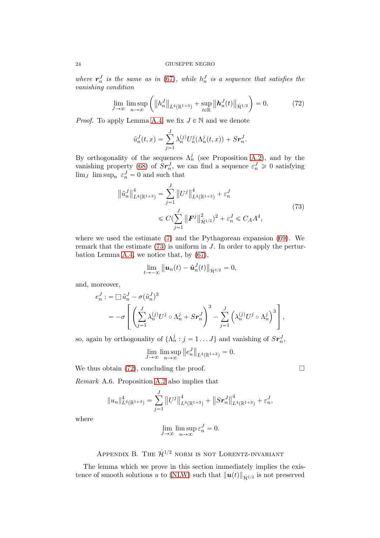where  $r_n^J$  is the same as in [\(67\)](#page-21-0), while  $h_n^J$  is a sequence that satisfies the vanishing condition

$$
\lim_{J \to \infty} \limsup_{n \to \infty} \left( \|h_n^J\|_{L^4(\mathbb{R}^{1+3})} + \sup_{t \in \mathbb{R}} \|h_n^J(t)\|_{\dot{\mathcal{H}}^{1/2}} \right) = 0. \tag{72}
$$

*Proof.* To apply Lemma [A.4,](#page-22-2) we fix  $J \in \mathbb{N}$  and we denote

<span id="page-23-2"></span>
$$
\tilde{u}_n^J(t,x) = \sum_{j=1}^J \lambda_n^{(j)} U_n^j(\Lambda_n^j(t,x)) + S r_n^J.
$$

By orthogonality of the sequences  $\Lambda_n^j$  (see Proposition [A.2\)](#page-21-5), and by the vanishing property [\(68\)](#page-21-6) of  $Sr_n^J$ , we can find a sequence  $\varepsilon_n^J \geq 0$  satisfying  $\lim_{J} \limsup_{n} \varepsilon_n^{J} = 0$  and such that

$$
\left\| \tilde{u}_{n}^{J} \right\|_{L^{4}(\mathbb{R}^{1+3})}^{4} = \sum_{j=1}^{J} \left\| U^{j} \right\|_{L^{4}(\mathbb{R}^{1+3})}^{4} + \varepsilon_{n}^{J}
$$
\n
$$
\leq C \left( \sum_{j=1}^{J} \left\| \boldsymbol{F}^{j} \right\|_{\dot{\mathcal{H}}^{1/2}}^{2} \right)^{2} + \varepsilon_{n}^{J} \leq C_{A} A^{4},\tag{73}
$$

where we used the estimate [\(7\)](#page-3-1) and the Pythagorean expansion [\(69\)](#page-21-1). We remark that the estimate  $(73)$  is uniform in J. In order to apply the perturbation Lemma [A.4,](#page-22-2) we notice that, by [\(67\)](#page-21-0),

<span id="page-23-1"></span>
$$
\lim_{t\to-\infty}\|\boldsymbol{u}_n(t)-\tilde{\boldsymbol{u}}_n^J(t)\|_{\dot{\mathcal{H}}^{1/2}}=0,
$$

and, moreover,

$$
e_n^J := \Box \tilde{u}_n^J - \sigma (\tilde{u}_n^J)^3
$$
  
= 
$$
-\sigma \left[ \left( \sum_{j=1}^J \lambda_n^{(j)} U^j \circ \Lambda_n^j + Sr_n^J \right)^3 - \sum_{j=1}^J \left( \lambda_n^{(j)} U^j \circ \Lambda_n^j \right)^3 \right],
$$

so, again by orthogonality of  $\{\Lambda_n^j : j = 1 \dots J\}$  and vanishing of  $S_{\boldsymbol{r}_n}^J$ ,

$$
\lim_{J \to \infty} \limsup_{n \to \infty} ||e_n^J||_{L^4(\mathbb{R}^{1+3})} = 0.
$$

We thus obtain [\(72\)](#page-23-2), concluding the proof.  $\Box$ 

<span id="page-23-0"></span>Remark A.6. Proposition [A.2](#page-21-5) also implies that

$$
||u_n||_{L^4(\mathbb{R}^{1+3})}^4 = \sum_{j=1}^J ||U^j||_{L^4(\mathbb{R}^{1+3})}^4 + ||S\boldsymbol{r}_n^J||_{L^4(\mathbb{R}^{1+3})}^4 + \varepsilon_n^J,
$$

where

$$
\lim_{J \to \infty} \limsup_{n \to \infty} \varepsilon_n^J = 0.
$$

## APPENDIX B. THE  $\dot{\mathcal{H}}^{1/2}$  norm is not Lorentz-invariant

The lemma which we prove in this section immediately implies the exis-tence of smooth solutions u to [\(NLW\)](#page-0-2) such that  $||u(t)||_{\dot{H}^{1/2}}$  is not preserved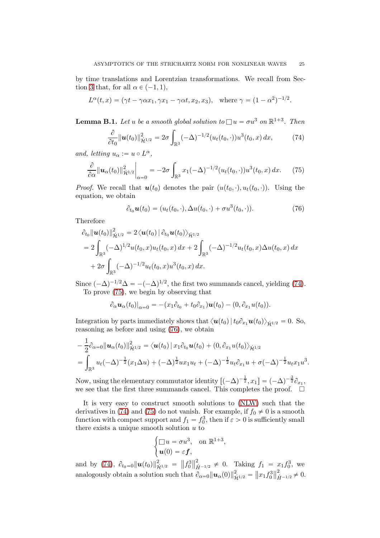by time translations and Lorentzian transformations. We recall from Sec-tion [3](#page-3-2) that, for all  $\alpha \in (-1, 1)$ ,

$$
L^{\alpha}(t, x) = (\gamma t - \gamma \alpha x_1, \gamma x_1 - \gamma \alpha t, x_2, x_3), \text{ where } \gamma = (1 - \alpha^2)^{-1/2}.
$$

**Lemma B.1.** Let u be a smooth global solution to  $\Box u = \sigma u^3$  on  $\mathbb{R}^{1+3}$ . Then

$$
\frac{\partial}{\partial t_0} ||\boldsymbol{u}(t_0)||_{\dot{\mathcal{H}}^{1/2}}^2 = 2\sigma \int_{\mathbb{R}^3} (-\Delta)^{-1/2} (u_t(t_0, \cdot)) u^3(t_0, x) dx, \tag{74}
$$

and, letting  $u_{\alpha} := u \circ L^{\alpha}$ ,

$$
\frac{\partial}{\partial \alpha} || \boldsymbol{u}_{\alpha}(t_0) ||_{\dot{\mathcal{H}}^{1/2}}^2 \bigg|_{\alpha=0} = -2\sigma \int_{\mathbb{R}^3} x_1 (-\Delta)^{-1/2} (u_t(t_0, \cdot)) u^3(t_0, x) dx. \tag{75}
$$

*Proof.* We recall that  $u(t_0)$  denotes the pair  $(u(t_0, \cdot), u_t(t_0, \cdot))$ . Using the equation, we obtain

<span id="page-24-2"></span><span id="page-24-1"></span><span id="page-24-0"></span>
$$
\partial_{t_0}\boldsymbol{u}(t_0) = (u_t(t_0,\cdot), \Delta u(t_0,\cdot) + \sigma u^3(t_0,\cdot)). \tag{76}
$$

Therefore

$$
\partial_{t_0} ||\boldsymbol{u}(t_0)||_{\dot{\mathcal{H}}^{1/2}}^2 = 2 \langle \boldsymbol{u}(t_0) | \partial_{t_0} \boldsymbol{u}(t_0) \rangle_{\dot{\mathcal{H}}^{1/2}} \n= 2 \int_{\mathbb{R}^3} (-\Delta)^{1/2} u(t_0, x) u_t(t_0, x) dx + 2 \int_{\mathbb{R}^3} (-\Delta)^{-1/2} u_t(t_0, x) \Delta u(t_0, x) dx \n+ 2\sigma \int_{\mathbb{R}^3} (-\Delta)^{-1/2} u_t(t_0, x) u^3(t_0, x) dx.
$$

Since  $(-\Delta)^{-1/2}\Delta = -(-\Delta)^{1/2}$ , the first two summands cancel, yielding [\(74\)](#page-24-0). To prove [\(75\)](#page-24-1), we begin by observing that

$$
\partial_{\alpha} \mathbf{u}_{\alpha}(t_0)|_{\alpha=0} = -(x_1 \partial_{t_0} + t_0 \partial_{x_1}) \mathbf{u}(t_0) - (0, \partial_{x_1} u(t_0)).
$$

Integration by parts immediately shows that  $\langle \mathbf{u}(t_0) | t_0 \partial_{x_1} \mathbf{u}(t_0) \rangle_{\dot{H}^{1/2}} = 0$ . So, reasoning as before and using [\(76\)](#page-24-2), we obtain

$$
-\frac{1}{2}\partial_{\alpha=0}||\boldsymbol{u}_{\alpha}(t_0)||_{\dot{\mathcal{H}}^{1/2}}^2 = \langle \boldsymbol{u}(t_0) || x_1 \partial_{t_0} \boldsymbol{u}(t_0) + (0, \partial_{x_1} u(t_0)) \rangle_{\dot{\mathcal{H}}^{1/2}} = \int_{\mathbb{R}^3} u_t(-\Delta)^{-\frac{1}{2}}(x_1 \Delta u) + (-\Delta)^{\frac{1}{2}} u x_1 u_t + (-\Delta)^{-\frac{1}{2}} u_t \partial_{x_1} u + \sigma(-\Delta)^{-\frac{1}{2}} u_t x_1 u^3.
$$

Now, using the elementary commutator identity  $[(-\Delta)^{-\frac{1}{2}}, x_1] = (-\Delta)^{-\frac{3}{2}} \partial_{x_1}$ , we see that the first three summands cancel. This completes the proof.  $\Box$ 

It is very easy to construct smooth solutions to [\(NLW\)](#page-0-2) such that the derivatives in [\(74\)](#page-24-0) and [\(75\)](#page-24-1) do not vanish. For example, if  $f_0 \neq 0$  is a smooth function with compact support and  $f_1 = f_0^3$ , then if  $\varepsilon > 0$  is sufficiently small there exists a unique smooth solution  $u$  to

$$
\begin{cases} \Box u = \sigma u^3, & \text{on } \mathbb{R}^{1+3}, \\ \mathbf{u}(0) = \varepsilon \mathbf{f}, \end{cases}
$$

and by [\(74\)](#page-24-0),  $\partial_{t_0=0} ||u(t_0)||_{\dot{\mathcal{H}}^{1/2}}^2 = ||f_0^3||$  $\frac{2}{H^{-1/2}} \neq 0$ . Taking  $f_1 = x_1 f_0^3$ , we analogously obtain a solution such that  $\partial_{\alpha=0} ||u_{\alpha}(0)||_{\dot{\mathcal{H}}^{1/2}}^2 = ||x_1 f_0^3||$  $_{\dot{H}^{-1/2}}^2 \neq 0.$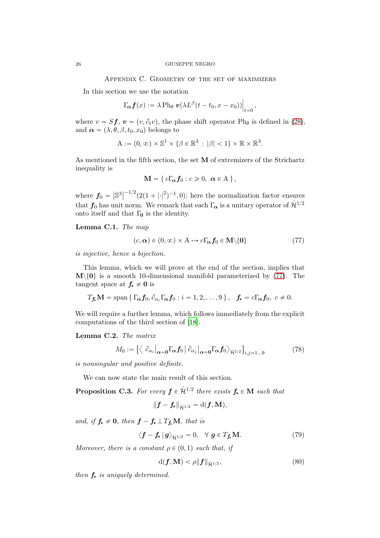Appendix C. Geometry of the set of maximizers

<span id="page-25-1"></span>In this section we use the notation

$$
\Gamma_{\alpha} f(x) := \lambda \operatorname{Ph}_{\theta} \left. \mathbf{v}(\lambda L^{\beta}(t - t_0, x - x_0)) \right|_{t=0},
$$

where  $v = Sf$ ,  $\mathbf{v} = (v, \partial_t v)$ , the phase shift operator Ph<sub>θ</sub> is defined in [\(28\)](#page-10-7), and  $\alpha = (\lambda, \theta, \beta, t_0, x_0)$  belongs to

$$
A := (0, \infty) \times \mathbb{S}^1 \times \{ \beta \in \mathbb{R}^3 : |\beta| < 1 \} \times \mathbb{R} \times \mathbb{R}^3.
$$

As mentioned in the fifth section, the set M of extremizers of the Strichartz inequality is

$$
\mathbf{M} = \{ c\Gamma_{\alpha} f_0 : c \geqslant 0, \ \alpha \in \mathbf{A} \},
$$

where  $f_0 = |\mathbb{S}^3|$  $\binom{-1/2}{2(1+|\cdot|^2)}$  $(-1, 0)$ ; here the normalization factor ensures that  $f_0$  has unit norm. We remark that each  $\Gamma_{\alpha}$  is a unitary operator of  $\dot{\mathcal{H}}^{1/2}$ onto itself and that  $\Gamma_0$  is the identity.

<span id="page-25-5"></span>Lemma C.1. The map

<span id="page-25-2"></span>
$$
(c, \alpha) \in (0, \infty) \times A \mapsto c\Gamma_{\alpha} f_0 \in \mathbf{M} \setminus \{0\} \tag{77}
$$

is injective, hence a bijection.

This lemma, which we will prove at the end of the section, implies that  $\mathbf{M}\setminus\{0\}$  is a smooth 10-dimensional manifold parameterized by [\(77\)](#page-25-2). The tangent space at  $f_{\star} \neq 0$  is

$$
T_{\mathbf{f}}\mathbf{M} = \text{span}\left\{ \Gamma_{\alpha}\mathbf{f}_0, \partial_{\alpha_i}\Gamma_{\alpha}\mathbf{f}_0 : i = 1, 2, \ldots, 9 \right\}, \quad \mathbf{f}_{\mathbf{x}} = c\Gamma_{\alpha}\mathbf{f}_0, \ c \neq 0.
$$

We will require a further lemma, which follows immediately from the explicit computations of the third section of [\[18](#page-29-4)].

<span id="page-25-7"></span>Lemma C.2. The matrix

$$
M_0 := \left[ \left\langle \left| \partial_{\alpha_i} \right|_{\alpha=0} \Gamma_{\alpha} f_0 \left| \partial_{\alpha_j} \right|_{\alpha=0} \Gamma_{\alpha} f_0 \right\rangle_{\dot{\mathcal{H}}^{1/2}} \right]_{i,j=1...9}
$$
(78)

is nonsingular and positive definite.

We can now state the main result of this section.

<span id="page-25-0"></span>**Proposition C.3.** For every  $f \in \dot{\mathcal{H}}^{1/2}$  there exists  $f_{\star} \in M$  such that

<span id="page-25-6"></span>
$$
\|\boldsymbol{f} - \boldsymbol{f_\star}\|_{\dot{\mathcal{H}}^{1/2}} = \mathrm{d}(\boldsymbol{f},\mathbf{M}),
$$

and, if  $f_{\star} \neq 0$ , then  $f - f_{\star} \perp T_{f_{\star}} M$ , that is

$$
\langle \mathbf{f} - \mathbf{f}_{\star} | \mathbf{g} \rangle_{\dot{\mathcal{H}}^{1/2}} = 0, \quad \forall \mathbf{g} \in T_{\mathbf{f}_{\star}} \mathbf{M}.
$$
 (79)

Moreover, there is a constant  $\rho \in (0, 1)$  such that, if

<span id="page-25-4"></span><span id="page-25-3"></span>
$$
\mathrm{d}(\boldsymbol{f}, \mathbf{M}) < \rho \| \boldsymbol{f} \|_{\dot{\mathcal{H}}^{1/2}},\tag{80}
$$

then  $f_{\star}$  is uniquely determined.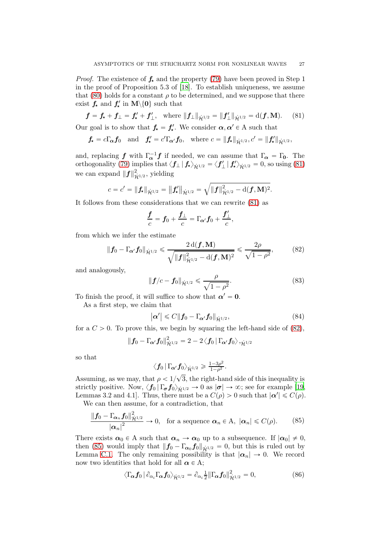*Proof.* The existence of  $f_{\star}$  and the property [\(79\)](#page-25-3) have been proved in Step 1 in the proof of Proposition 5.3 of [\[18](#page-29-4)]. To establish uniqueness, we assume that [\(80\)](#page-25-4) holds for a constant  $\rho$  to be determined, and we suppose that there exist  $f_{\star}$  and  $f'_{\star}$  in  $\mathbf{M}\backslash\{0\}$  such that

$$
f = f_{\star} + f_{\perp} = f'_{\star} + f'_{\perp}
$$
, where  $||f_{\perp}||_{\dot{\mathcal{H}}^{1/2}} = ||f'_{\perp}||_{\dot{\mathcal{H}}^{1/2}} = d(f, M).$  (81)

Our goal is to show that  $f_{\star} = f'_{\star}$ . We consider  $\alpha, \alpha' \in A$  such that

 $f_{\star}=c\Gamma_{\alpha}f_0\quad\text{and}\quad f'_{\star}=c'\Gamma_{\alpha'}f_0,\quad\text{where }c=\|f_{\star}\|_{\dot{\mathcal{H}}^{1/2}}, c'=\|f'_{\star}\|_{\dot{\mathcal{H}}^{1/2}},$ 

and, replacing f with  $\Gamma_{\alpha}^{-1}$ f if needed, we can assume that  $\Gamma_{\alpha} = \Gamma_0$ . The orthogonality [\(79\)](#page-25-3) implies that  $\langle f_\perp | f_\star \rangle_{\dot{\mathcal{H}}^{1/2}} = \langle f_\perp' | f_\star' \rangle_{\dot{\mathcal{H}}^{1/2}} = 0$ , so using [\(81\)](#page-26-0) we can expand  $\|\boldsymbol{f}\|_{\dot{\mathcal{H}}^{1/2}}^2$ , yielding

$$
c = c' = ||f_{\star}||_{\dot{\mathcal{H}}^{1/2}} = ||f_{\star}'||_{\dot{\mathcal{H}}^{1/2}} = \sqrt{||f||_{\dot{\mathcal{H}}^{1/2}}^2 - d(f, M)^2}.
$$

It follows from these considerations that we can rewrite [\(81\)](#page-26-0) as

<span id="page-26-0"></span>
$$
\frac{\boldsymbol{f}}{c} = \boldsymbol{f}_0 + \frac{\boldsymbol{f}_\perp}{c} = \Gamma_{\boldsymbol{\alpha}'} \boldsymbol{f}_0 + \frac{\boldsymbol{f}_\perp'}{c},
$$

from which we infer the estimate

$$
\|\mathbf{f}_0 - \Gamma_{\alpha'} \mathbf{f}_0\|_{\dot{\mathcal{H}}^{1/2}} \leq \frac{2 d(\mathbf{f}, \mathbf{M})}{\sqrt{\|\mathbf{f}\|_{\dot{\mathcal{H}}^{1/2}}^2 - d(\mathbf{f}, \mathbf{M})^2}} \leq \frac{2\rho}{\sqrt{1 - \rho^2}},
$$
(82)

and analogously,

<span id="page-26-5"></span><span id="page-26-1"></span>
$$
\|\mathbf{f}/c - \mathbf{f}_0\|_{\dot{\mathcal{H}}^{1/2}} \leq \frac{\rho}{\sqrt{1 - \rho^2}}.\tag{83}
$$

To finish the proof, it will suffice to show that  $\alpha' = 0$ .

As a first step, we claim that

<span id="page-26-4"></span>
$$
|\alpha'| \leq C \|f_0 - \Gamma_{\alpha'} f_0\|_{\dot{\mathcal{H}}^{1/2}},\tag{84}
$$

for a  $C > 0$ . To prove this, we begin by squaring the left-hand side of [\(82\)](#page-26-1),

$$
\|\boldsymbol{f_0}-\Gamma_{\boldsymbol{\alpha'}}\boldsymbol{f_0}\|_{\dot{\mathcal{H}}^{1/2}}^2=2-2\left\langle \boldsymbol{f_0}\left|\Gamma_{\boldsymbol{\alpha'}}\boldsymbol{f_0}\right\rangle ,_{\dot{\mathcal{H}}^{1/2}}\right.
$$

so that

<span id="page-26-2"></span>
$$
\big<\textbf{\textit{f}}_0\,|\,\Gamma_{\!\boldsymbol{\alpha}'}\textbf{\textit{f}}_0\big>_{\dot{\mathcal{H}}^{1/2}}\geqslant\tfrac{1-3\rho^2}{1-\rho^2}.
$$

Assuming, as we may, that  $\rho < 1/\sqrt{3}$ , the right-hand side of this inequality is strictly positive. Now,  $\langle f_0 | \Gamma_{\sigma} f_0 \rangle_{\dot{\mathcal{H}}^{1/2}} \to 0$  as  $|\sigma| \to \infty$ ; see for example [\[19](#page-29-16), Lemmas 3.2 and 4.1]. Thus, there must be a  $C(\rho) > 0$  such that  $|\alpha'| \leq C(\rho)$ .

We can then assume, for a contradiction, that

$$
\frac{\left\|\bm{f}_0-\Gamma_{\bm{\alpha}_n}\bm{f}_0\right\|_{\dot{\mathcal{H}}^{1/2}}^2}{\left|\bm{\alpha}_n\right|^2} \to 0, \text{ for a sequence } \bm{\alpha}_n \in \mathcal{A}, \ |\bm{\alpha}_n| \leq C(\rho). \tag{85}
$$

There exists  $\alpha_0 \in A$  such that  $\alpha_n \to \alpha_0$  up to a subsequence. If  $|\alpha_0| \neq 0$ , then [\(85\)](#page-26-2) would imply that  $||f_0 - \Gamma_{\alpha_0} f_0||_{\dot{H}^{1/2}} = 0$ , but this is ruled out by Lemma [C.1.](#page-25-5) The only remaining possibility is that  $|\alpha_n| \to 0$ . We record now two identities that hold for all  $\alpha \in A$ ;

<span id="page-26-3"></span>
$$
\langle \Gamma_{\alpha} f_0 | \partial_{\alpha_i} \Gamma_{\alpha} f_0 \rangle_{\dot{\mathcal{H}}^{1/2}} = \partial_{\alpha_i} \frac{1}{2} || \Gamma_{\alpha} f_0 ||_{\dot{\mathcal{H}}^{1/2}}^2 = 0, \tag{86}
$$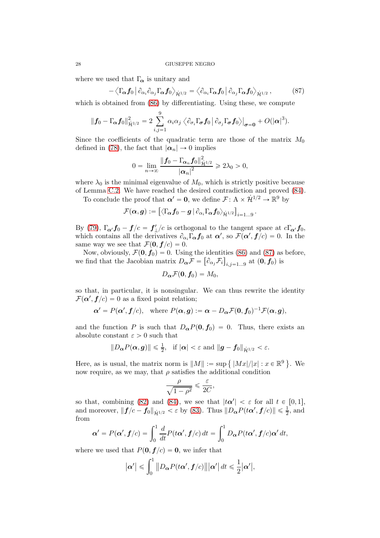where we used that  $\Gamma_{\alpha}$  is unitary and

$$
-\left\langle \Gamma_{\boldsymbol{\alpha}}\boldsymbol{f}_0\,\big|\,\partial_{\alpha_i}\partial_{\alpha_j}\Gamma_{\boldsymbol{\alpha}}\boldsymbol{f}_0\right\rangle_{\dot{\mathcal{H}}^{1/2}}=\left\langle \partial_{\alpha_i}\Gamma_{\boldsymbol{\alpha}}\boldsymbol{f}_0\,\big|\,\partial_{\alpha_j}\Gamma_{\boldsymbol{\alpha}}\boldsymbol{f}_0\right\rangle_{\dot{\mathcal{H}}^{1/2}},\tag{87}
$$

which is obtained from [\(86\)](#page-26-3) by differentiating. Using these, we compute

$$
\|\boldsymbol{f}_0-\Gamma_{\!\boldsymbol{\alpha}}\boldsymbol{f}_0\|^2_{\dot{\mathcal{H}}^{1/2}}=2\sum_{i,j=1}^9\alpha_i\alpha_j\left\langle \partial_{\sigma_i}\Gamma_{\!\boldsymbol{\sigma}}\boldsymbol{f}_0\left|\left.\partial_{\sigma_j}\Gamma_{\!\boldsymbol{\sigma}}\boldsymbol{f}_0\right.\right\rangle\right|_{\boldsymbol{\sigma}=\boldsymbol{0}}+O(|\boldsymbol{\alpha}|^3).
$$

Since the coefficients of the quadratic term are those of the matrix  $M_0$ defined in [\(78\)](#page-25-6), the fact that  $|\alpha_n| \to 0$  implies

<span id="page-27-0"></span>
$$
0 = \lim_{n \to \infty} \frac{\left\|f_0 - \Gamma_{\alpha_n} f_0\right\|_{\dot{\mathcal{H}}^{1/2}}^2}{\left|\alpha_n\right|^2} \geq 2\lambda_0 > 0,
$$

where  $\lambda_0$  is the minimal eigenvalue of  $M_0$ , which is strictly positive because of Lemma [C.2.](#page-25-7) We have reached the desired contradiction and proved [\(84\)](#page-26-4).

To conclude the proof that  $\alpha' = 0$ , we define  $\mathcal{F} \colon A \times \mathcal{H}^{1/2} \to \mathbb{R}^9$  by

$$
\mathcal{F}(\boldsymbol{\alpha},\boldsymbol{g}):=\left[\left\langle \Gamma_{\boldsymbol{\alpha}}\boldsymbol{f}_0-\boldsymbol{g}\,|\,\partial_{\alpha_i}\Gamma_{\boldsymbol{\alpha}}\boldsymbol{f}_0\right\rangle_{\dot{\mathcal{H}}^{1/2}}\right]_{i=1...9}.
$$

By [\(79\)](#page-25-3),  $\Gamma_{\alpha'} f_0 - f/c = f'_\perp/c$  is orthogonal to the tangent space at  $c\Gamma_{\alpha'} f_0$ , which contains all the derivatives  $\partial_{\alpha_i} \Gamma_{\alpha} f_0$  at  $\alpha'$ , so  $\mathcal{F}(\alpha', f/c) = 0$ . In the same way we see that  $\mathcal{F}(\mathbf{0}, \mathbf{f}/c) = 0$ .

Now, obviously,  $\mathcal{F}(\mathbf{0}, \mathbf{f}_0) = 0$ . Using the identities [\(86\)](#page-26-3) and [\(87\)](#page-27-0) as before, we find that the Jacobian matrix  $D_{\boldsymbol{\alpha}}\mathcal{F} = \left[\partial_{\alpha_j}\mathcal{F}_i\right]_{i,j=1...9}$  at  $(\mathbf{0}, \mathbf{f}_0)$  is

$$
D_{\boldsymbol{\alpha}}\mathcal{F}(\mathbf{0},\mathbf{f}_0)=M_0,
$$

so that, in particular, it is nonsingular. We can thus rewrite the identity  $\mathcal{F}(\boldsymbol{\alpha}', \boldsymbol{f}/c) = 0$  as a fixed point relation;

$$
\alpha' = P(\alpha', f/c)
$$
, where  $P(\alpha, g) := \alpha - D_{\alpha} \mathcal{F}(0, f_0)^{-1} \mathcal{F}(\alpha, g)$ ,

and the function P is such that  $D_{\alpha}P(0, f_0) = 0$ . Thus, there exists an absolute constant  $\varepsilon > 0$  such that

$$
||D_{\boldsymbol{\alpha}} P(\boldsymbol{\alpha}, \boldsymbol{g})|| \leq \frac{1}{2}, \ \ \text{if } |\boldsymbol{\alpha}| < \varepsilon \ \text{and} \ ||\boldsymbol{g} - \boldsymbol{f}_0||_{\dot{\mathcal{H}}^{1/2}} < \varepsilon.
$$

Here, as is usual, the matrix norm is  $||M|| := \sup \{ |Mx|/|x| : x \in \mathbb{R}^9 \}$ . We now require, as we may, that  $\rho$  satisfies the additional condition

$$
\frac{\rho}{\sqrt{1-\rho^2}} \leqslant \frac{\varepsilon}{2C},
$$

so that, combining [\(82\)](#page-26-1) and [\(84\)](#page-26-4), we see that  $|t\alpha'| < \varepsilon$  for all  $t \in [0, 1]$ , and moreover,  $\|\mathbf{f}/c - \mathbf{f}_0\|_{\dot{\mathcal{H}}^{1/2}} < \varepsilon$  by [\(83\)](#page-26-5). Thus  $\|D_{\alpha}P(t\alpha', \mathbf{f}/c)\| \leq \frac{1}{2}$  $\frac{1}{2}$ , and from

$$
\boldsymbol{\alpha}' = P(\boldsymbol{\alpha}', \boldsymbol{f}/c) = \int_0^1 \frac{d}{dt} P(t\boldsymbol{\alpha}', \boldsymbol{f}/c) dt = \int_0^1 D_{\boldsymbol{\alpha}} P(t\boldsymbol{\alpha}', \boldsymbol{f}/c) \boldsymbol{\alpha}' dt,
$$

where we used that  $P(\mathbf{0}, \mathbf{f}/c) = \mathbf{0}$ , we infer that

$$
\left|\boldsymbol{\alpha}'\right| \leqslant \int_0^1 \left\|D_{\boldsymbol{\alpha}} P(t\boldsymbol{\alpha}',\boldsymbol{f}/c)\right\| \left|\boldsymbol{\alpha}'\right| dt \leqslant \frac{1}{2} \left|\boldsymbol{\alpha}'\right|,
$$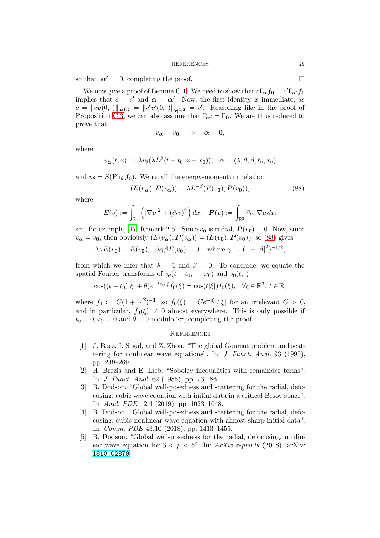so that  $|\alpha'| = 0$ , completing the proof.

We now give a proof of Lemma [C.1.](#page-25-5) We need to show that  $c\Gamma_{\alpha} f_0 = c'\Gamma_{\alpha'} f_0$ implies that  $c = c'$  and  $\alpha = \alpha'$ . Now, the first identity is immediate, as  $c = ||cv(0, \cdot)||_{\dot{\mathcal{H}}^{1/2}} = ||c'v'(0, \cdot)||_{\dot{\mathcal{H}}^{1/2}} = c'$ . Reasoning like in the proof of Proposition [C.3,](#page-25-0) we can also assume that  $\Gamma_{\alpha'} = \Gamma_0$ . We are thus reduced to prove that

<span id="page-28-5"></span>
$$
v_{\alpha}=v_0\quad\Rightarrow\quad\alpha=0,
$$

where

$$
v_{\boldsymbol{\alpha}}(t,x) := \lambda v_{\theta}(\lambda L^{\beta}(t - t_0, x - x_0)), \quad \boldsymbol{\alpha} = (\lambda, \theta, \beta, t_0, x_0)
$$

and  $v_{\theta} = S(\text{Ph}_{\theta} f_0)$ . We recall the energy-momentum relation

$$
(E(v_{\alpha}), P(v_{\alpha})) = \lambda L^{-\beta}(E(v_0), P(v_0)),
$$
\n(88)

where

$$
E(v) := \int_{\mathbb{R}^3} \left( |\nabla v|^2 + (\partial_t v)^2 \right) dx, \quad \boldsymbol{P}(v) := \int_{\mathbb{R}^3} \partial_t v \, \nabla v \, dx;
$$

see, for example, [\[17](#page-29-9), Remark 2.5]. Since  $v_0$  is radial,  $P(v_0) = 0$ . Now, since  $v_{\alpha} = v_0$ , then obviously  $(E(v_{\alpha}), P(v_{\alpha})) = (E(v_0), P(v_0))$ , so [\(88\)](#page-28-5) gives

$$
\lambda \gamma E(v_0) = E(v_0), \quad \lambda \gamma \beta E(v_0) = 0
$$
, where  $\gamma := (1 - |\beta|^2)^{-1/2}$ ,

from which we infer that  $\lambda = 1$  and  $\beta = 0$ . To conclude, we equate the spatial Fourier transforms of  $v_{\theta}(t - t_0, \cdot - x_0)$  and  $v_0(t, \cdot);$ 

$$
\cos((t-t_0)|\xi|+\theta)e^{-ix_0\cdot\xi}\hat{f}_0(\xi)=\cos(t|\xi|)\hat{f}_0(\xi), \quad \forall \xi \in \mathbb{R}^3, t \in \mathbb{R},
$$

where  $f_0 := C(1 + |cdot|^2)$  $j^{-1}$ , so  $\hat{f}_0(\xi) = Ce^{-|\xi|}/|\xi|$  for an irrelevant  $C > 0$ , and in particular,  $\hat{f}_0(\xi) \neq 0$  almost everywhere. This is only possible if  $t_0 = 0, x_0 = 0$  and  $\theta = 0$  modulo  $2\pi$ , completing the proof.

### **REFERENCES**

- <span id="page-28-4"></span>[1] J. Baez, I. Segal, and Z. Zhou. "The global Goursat problem and scattering for nonlinear wave equations". In: J. Funct. Anal. 93 (1990), pp. 239–269.
- <span id="page-28-0"></span>[2] H. Brezis and E. Lieb. "Sobolev inequalities with remainder terms". In: J. Funct. Anal. 62 (1985), pp. 73 –86.
- <span id="page-28-1"></span>[3] B. Dodson. "Global well-posedness and scattering for the radial, defocusing, cubic wave equation with initial data in a critical Besov space". In: Anal. PDE 12.4 (2019), pp. 1023–1048.
- <span id="page-28-2"></span>[4] B. Dodson. "Global well-posedness and scattering for the radial, defocusing, cubic nonlinear wave equation with almost sharp initial data". In: Comm. PDE 43.10 (2018), pp. 1413–1455.
- <span id="page-28-3"></span>[5] B. Dodson. "Global well-posedness for the radial, defocusing, nonlinear wave equation for  $3 < p < 5$ ". In: ArXiv e-prints (2018). arXiv: [1810.02879](http://arxiv.org/abs/1810.02879).